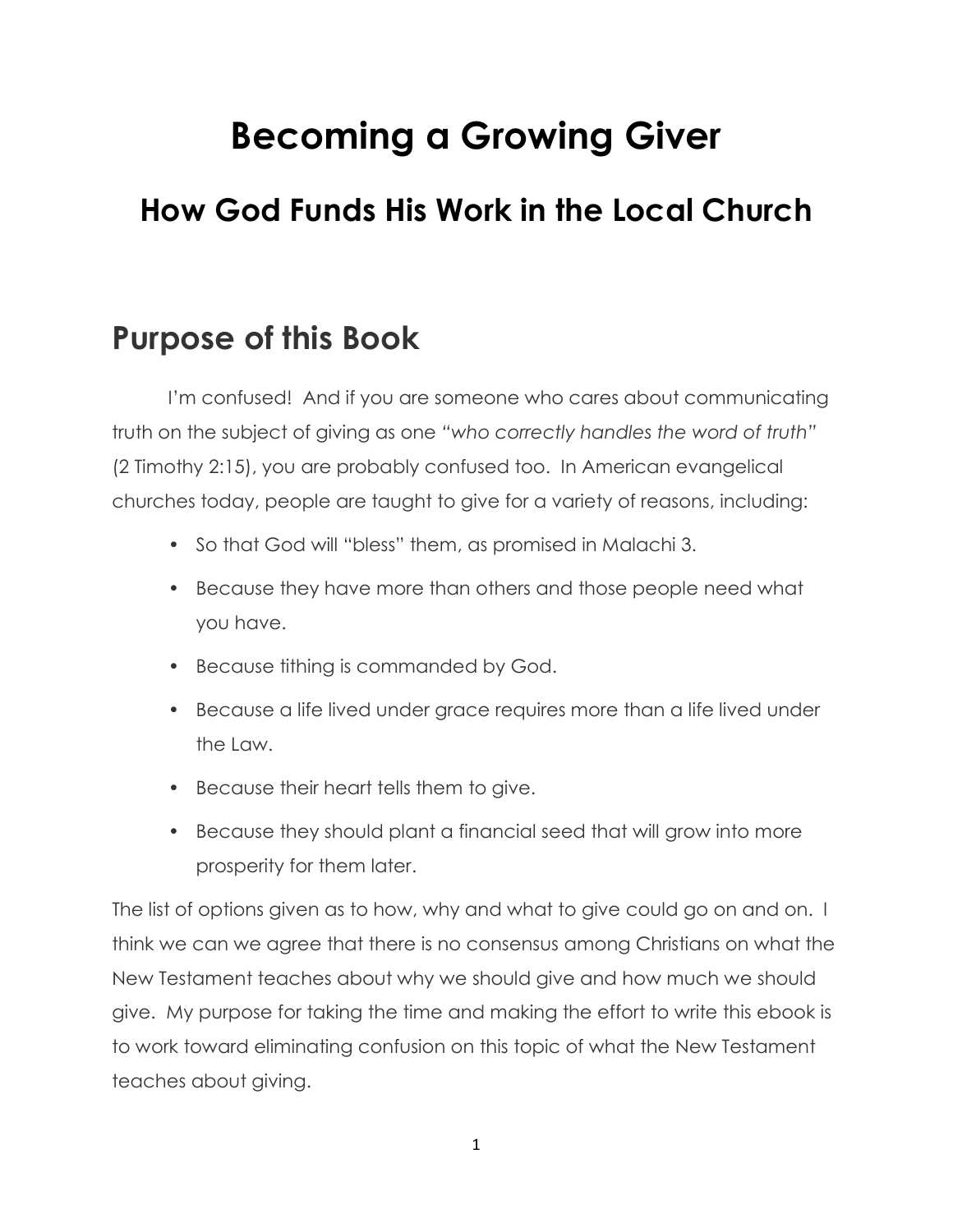# **Becoming a Growing Giver**

## **How God Funds His Work in the Local Church**

## **Purpose of this Book**

I'm confused! And if you are someone who cares about communicating truth on the subject of giving as one "who correctly handles the word of truth" (2 Timothy 2:15), you are probably confused too. In American evangelical churches today, people are taught to give for a variety of reasons, including:

- So that God will "bless" them, as promised in Malachi 3.
- Because they have more than others and those people need what you have.
- Because tithing is commanded by God.
- Because a life lived under grace requires more than a life lived under the Law.
- Because their heart tells them to give.
- Because they should plant a financial seed that will grow into more prosperity for them later.

The list of options given as to how, why and what to give could go on and on. I think we can we agree that there is no consensus among Christians on what the New Testament teaches about why we should give and how much we should give. My purpose for taking the time and making the effort to write this ebook is to work toward eliminating confusion on this topic of what the New Testament teaches about giving.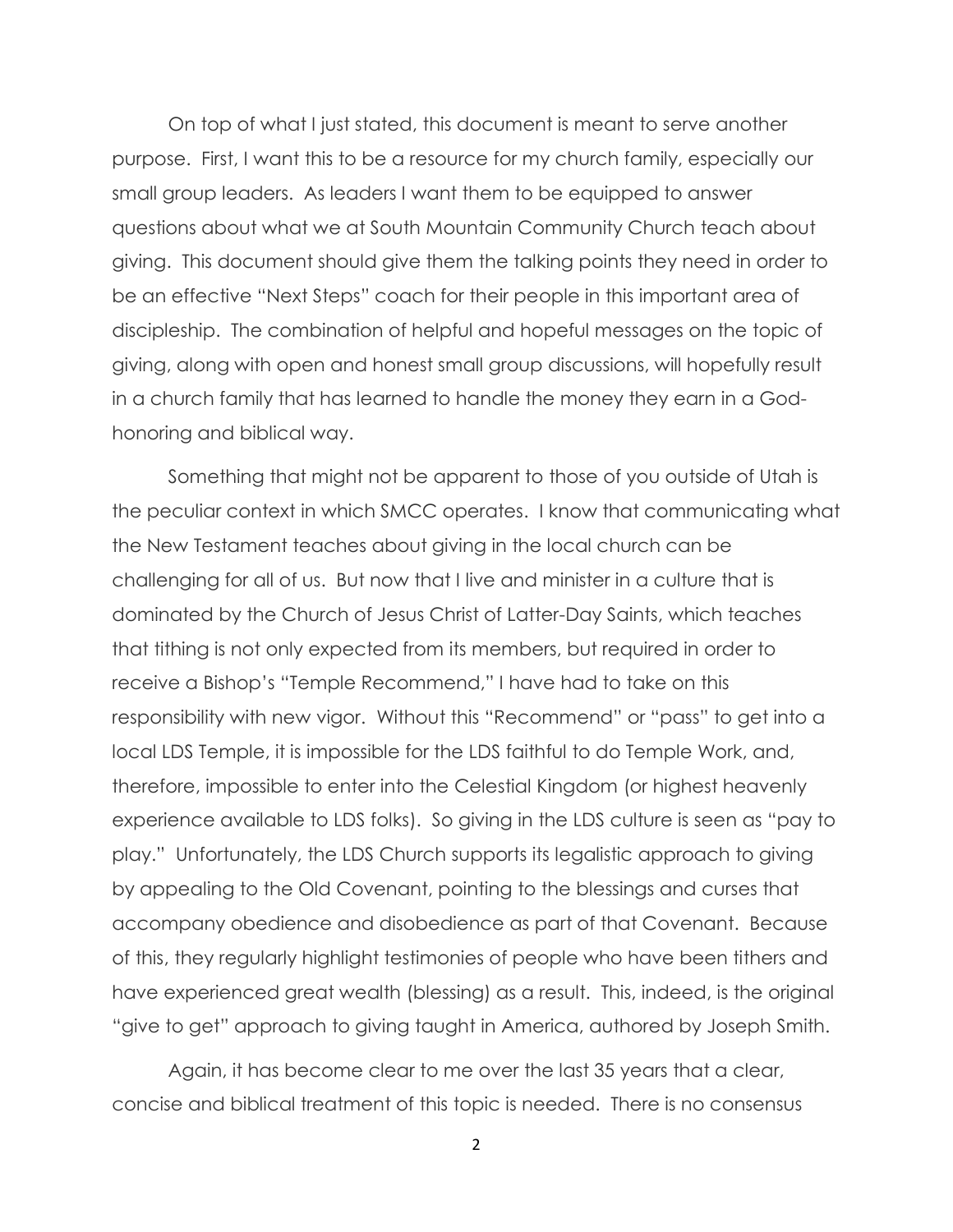On top of what I just stated, this document is meant to serve another purpose. First, I want this to be a resource for my church family, especially our small group leaders. As leaders I want them to be equipped to answer questions about what we at South Mountain Community Church teach about giving. This document should give them the talking points they need in order to be an effective "Next Steps" coach for their people in this important area of discipleship. The combination of helpful and hopeful messages on the topic of giving, along with open and honest small group discussions, will hopefully result in a church family that has learned to handle the money they earn in a Godhonoring and biblical way.

Something that might not be apparent to those of you outside of Utah is the peculiar context in which SMCC operates. I know that communicating what the New Testament teaches about giving in the local church can be challenging for all of us. But now that I live and minister in a culture that is dominated by the Church of Jesus Christ of Latter-Day Saints, which teaches that tithing is not only expected from its members, but required in order to receive a Bishop's "Temple Recommend," I have had to take on this responsibility with new vigor. Without this "Recommend" or "pass" to get into a local LDS Temple, it is impossible for the LDS faithful to do Temple Work, and, therefore, impossible to enter into the Celestial Kingdom (or highest heavenly experience available to LDS folks). So giving in the LDS culture is seen as "pay to play." Unfortunately, the LDS Church supports its legalistic approach to giving by appealing to the Old Covenant, pointing to the blessings and curses that accompany obedience and disobedience as part of that Covenant. Because of this, they regularly highlight testimonies of people who have been tithers and have experienced great wealth (blessing) as a result. This, indeed, is the original "give to get" approach to giving taught in America, authored by Joseph Smith.

Again, it has become clear to me over the last 35 years that a clear, concise and biblical treatment of this topic is needed. There is no consensus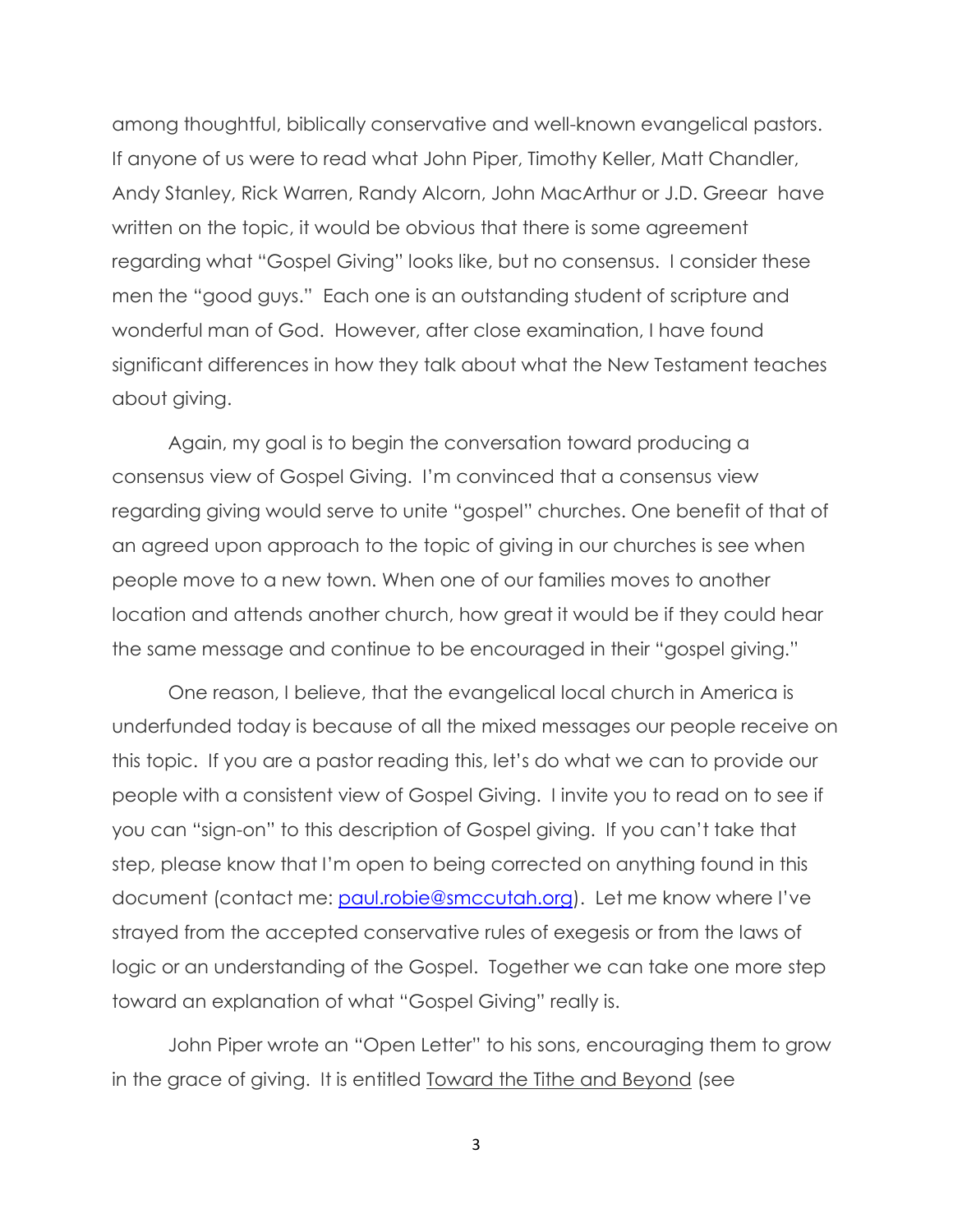among thoughtful, biblically conservative and well-known evangelical pastors. If anyone of us were to read what John Piper, Timothy Keller, Matt Chandler, Andy Stanley, Rick Warren, Randy Alcorn, John MacArthur or J.D. Greear have written on the topic, it would be obvious that there is some agreement regarding what "Gospel Giving" looks like, but no consensus. I consider these men the "good guys." Each one is an outstanding student of scripture and wonderful man of God. However, after close examination, I have found significant differences in how they talk about what the New Testament teaches about giving.

Again, my goal is to begin the conversation toward producing a consensus view of Gospel Giving. I'm convinced that a consensus view regarding giving would serve to unite "gospel" churches. One benefit of that of an agreed upon approach to the topic of giving in our churches is see when people move to a new town. When one of our families moves to another location and attends another church, how great it would be if they could hear the same message and continue to be encouraged in their "gospel giving."

One reason, I believe, that the evangelical local church in America is underfunded today is because of all the mixed messages our people receive on this topic. If you are a pastor reading this, let's do what we can to provide our people with a consistent view of Gospel Giving. I invite you to read on to see if you can "sign-on" to this description of Gospel giving. If you can't take that step, please know that I'm open to being corrected on anything found in this document (contact me: [paul.robie@smccutah.org](mailto:paul.robie@smccutah.org)). Let me know where I've strayed from the accepted conservative rules of exegesis or from the laws of logic or an understanding of the Gospel. Together we can take one more step toward an explanation of what "Gospel Giving" really is.

John Piper wrote an "Open Letter" to his sons, encouraging them to grow in the grace of giving. It is entitled Toward the Tithe and Beyond (see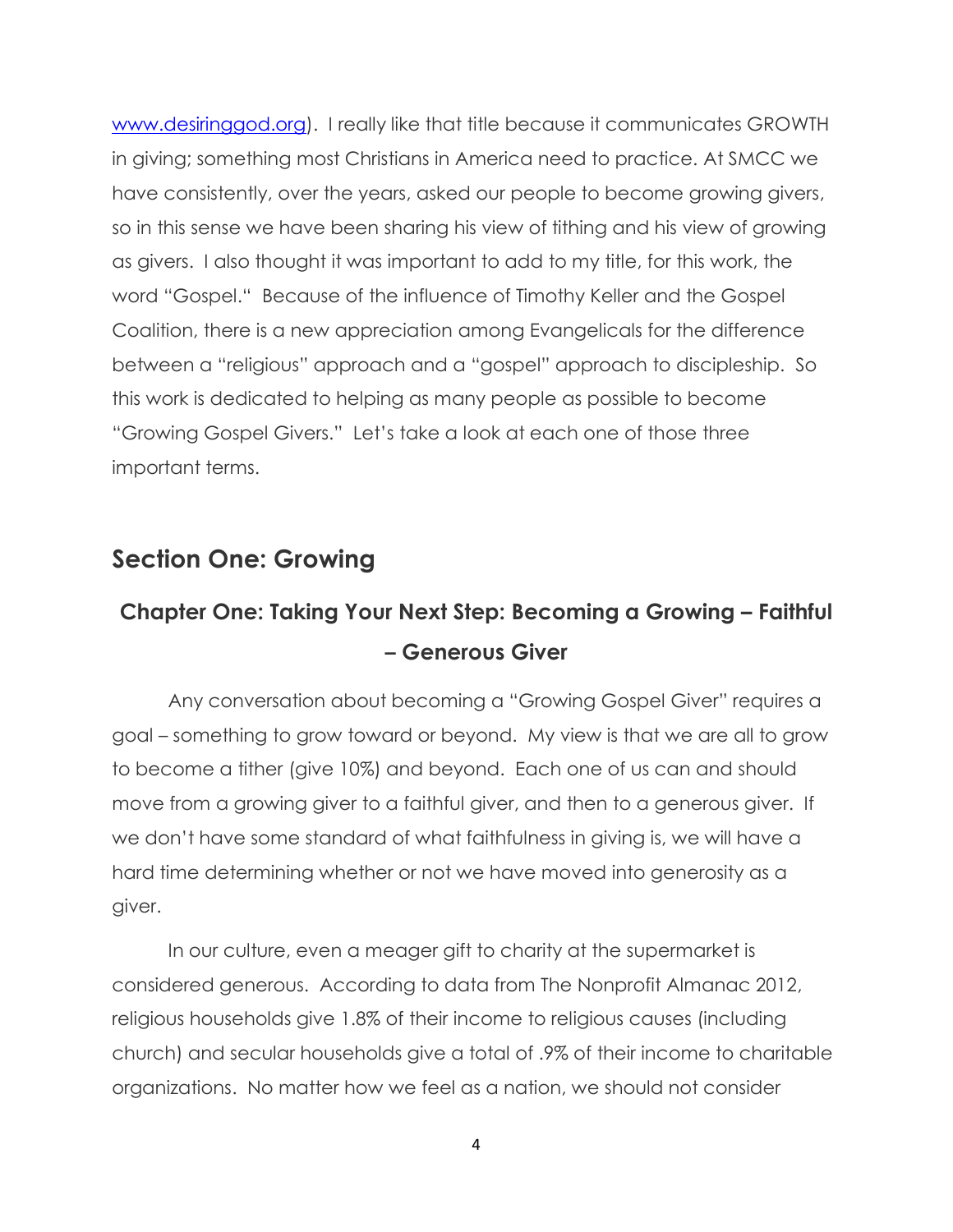[www.desiringgod.org\)](http://www.desiringgod.org/). I really like that title because it communicates GROWTH in giving; something most Christians in America need to practice. At SMCC we have consistently, over the years, asked our people to become growing givers, so in this sense we have been sharing his view of tithing and his view of growing as givers. I also thought it was important to add to my title, for this work, the word "Gospel." Because of the influence of Timothy Keller and the Gospel Coalition, there is a new appreciation among Evangelicals for the difference between a "religious" approach and a "gospel" approach to discipleship. So this work is dedicated to helping as many people as possible to become "Growing Gospel Givers." Let's take a look at each one of those three important terms.

#### **Section One: Growing**

## **Chapter One: Taking Your Next Step: Becoming a Growing – Faithful – Generous Giver**

Any conversation about becoming a "Growing Gospel Giver" requires a goal – something to grow toward or beyond. My view is that we are all to grow to become a tither (give 10%) and beyond. Each one of us can and should move from a growing giver to a faithful giver, and then to a generous giver. If we don't have some standard of what faithfulness in giving is, we will have a hard time determining whether or not we have moved into generosity as a giver.

In our culture, even a meager gift to charity at the supermarket is considered generous. According to data from The Nonprofit Almanac 2012, religious households give 1.8% of their income to religious causes (including church) and secular households give a total of .9% of their income to charitable organizations. No matter how we feel as a nation, we should not consider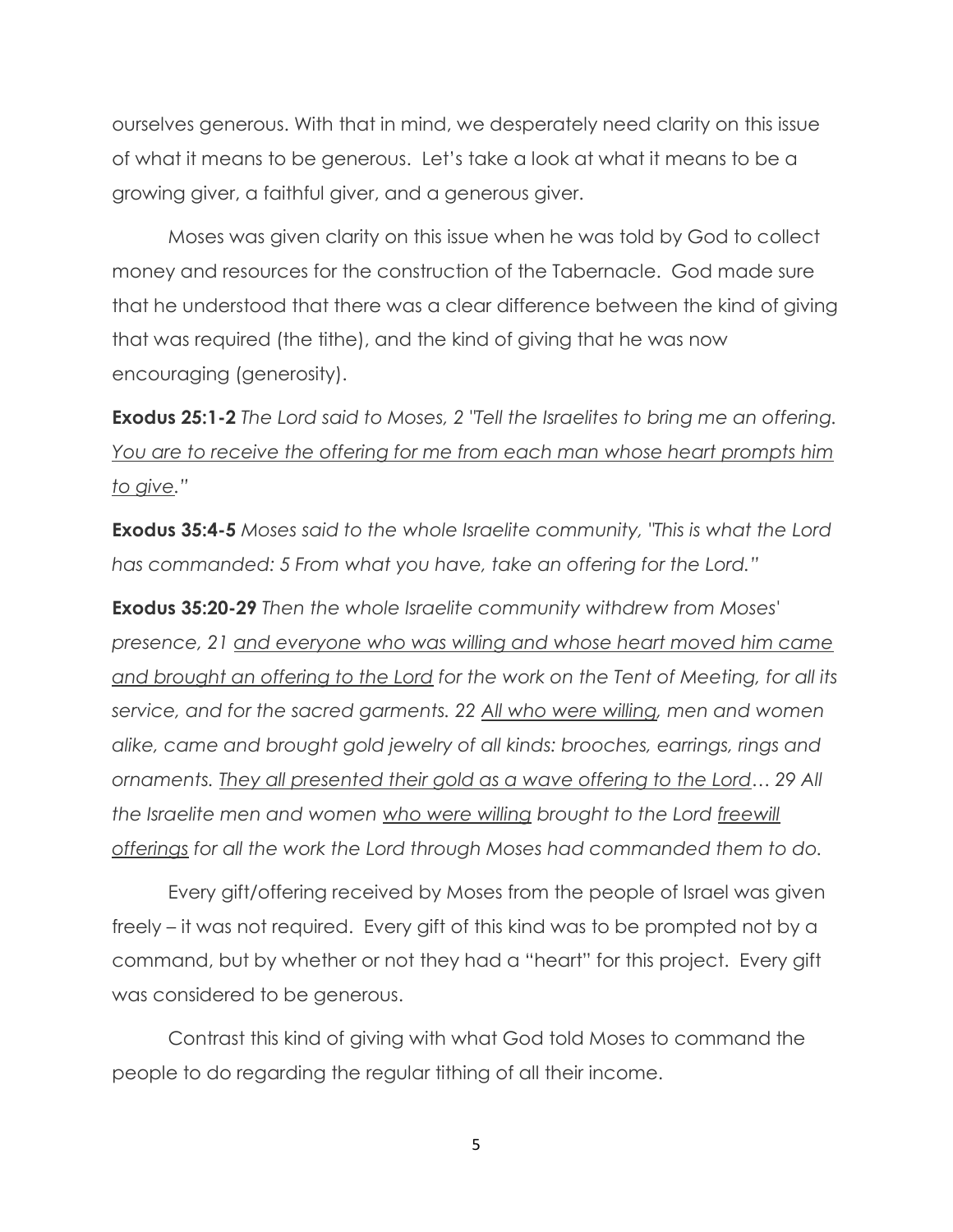ourselves generous. With that in mind, we desperately need clarity on this issue of what it means to be generous. Let's take a look at what it means to be a growing giver, a faithful giver, and a generous giver.

Moses was given clarity on this issue when he was told by God to collect money and resources for the construction of the Tabernacle. God made sure that he understood that there was a clear difference between the kind of giving that was required (the tithe), and the kind of giving that he was now encouraging (generosity).

**Exodus 25:1-2** *The Lord said to Moses, 2 "Tell the Israelites to bring me an offering. You are to receive the offering for me from each man whose heart prompts him to give.‖*

**Exodus 35:4-5** *Moses said to the whole Israelite community, "This is what the Lord has commanded: 5 From what you have, take an offering for the Lord.‖*

**Exodus 35:20-29** *Then the whole Israelite community withdrew from Moses' presence, 21 and everyone who was willing and whose heart moved him came and brought an offering to the Lord for the work on the Tent of Meeting, for all its service, and for the sacred garments. 22 All who were willing, men and women alike, came and brought gold jewelry of all kinds: brooches, earrings, rings and ornaments. They all presented their gold as a wave offering to the Lord… 29 All the Israelite men and women who were willing brought to the Lord freewill offerings for all the work the Lord through Moses had commanded them to do.* 

Every gift/offering received by Moses from the people of Israel was given freely – it was not required. Every gift of this kind was to be prompted not by a command, but by whether or not they had a "heart" for this project. Every gift was considered to be generous.

Contrast this kind of giving with what God told Moses to command the people to do regarding the regular tithing of all their income.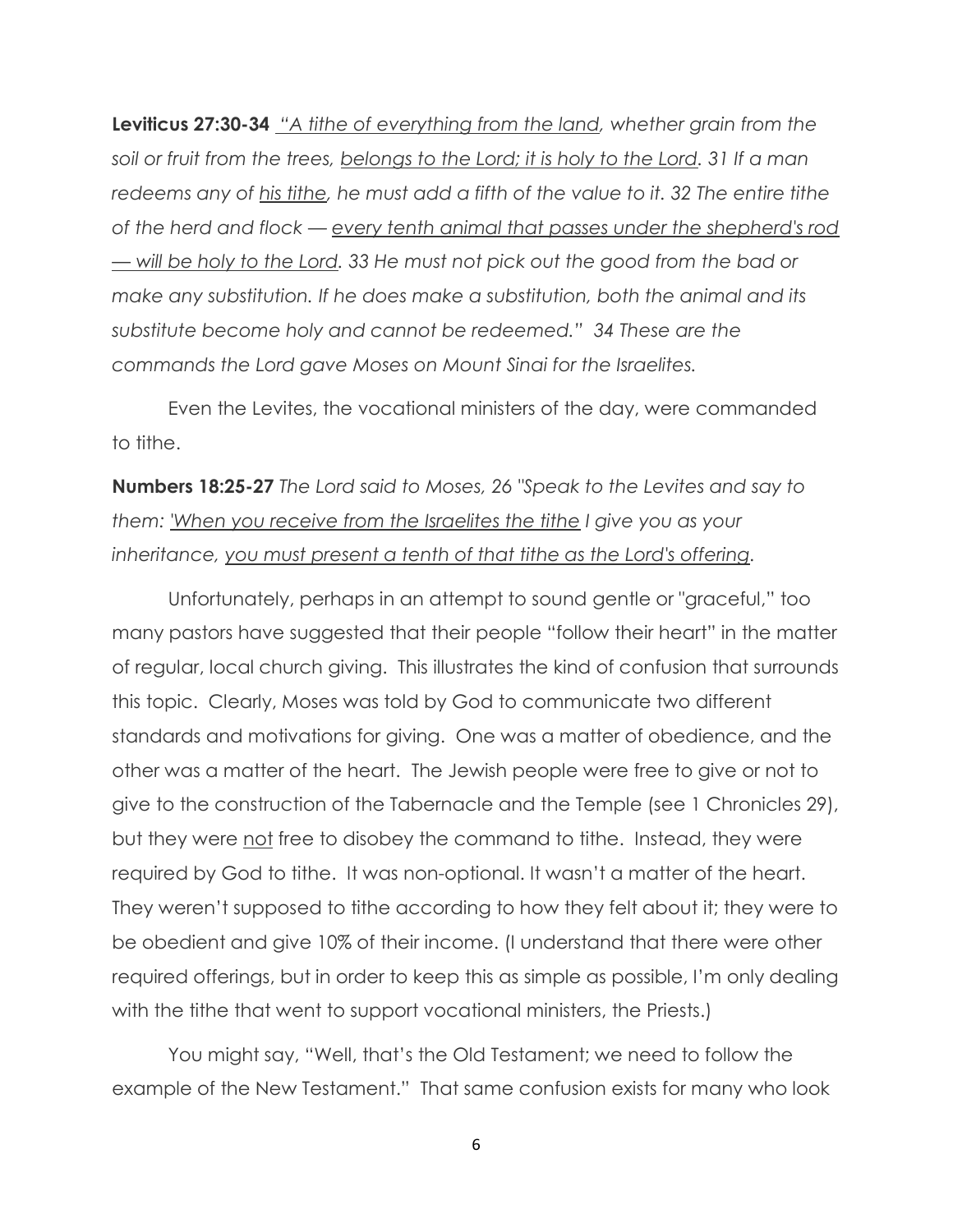**Leviticus 27:30-34** "A tithe of everything from the land, whether grain from the *soil or fruit from the trees, belongs to the Lord; it is holy to the Lord. 31 If a man*  redeems any of his tithe, he must add a fifth of the value to it. 32 The entire tithe *of the herd and flock — every tenth animal that passes under the shepherd's rod — will be holy to the Lord. 33 He must not pick out the good from the bad or make any substitution. If he does make a substitution, both the animal and its substitute become holy and cannot be redeemed.‖ 34 These are the commands the Lord gave Moses on Mount Sinai for the Israelites.* 

Even the Levites, the vocational ministers of the day, were commanded to tithe.

**Numbers 18:25-27** *The Lord said to Moses, 26 "Speak to the Levites and say to them: 'When you receive from the Israelites the tithe I give you as your inheritance, you must present a tenth of that tithe as the Lord's offering.* 

Unfortunately, perhaps in an attempt to sound gentle or "graceful," too many pastors have suggested that their people "follow their heart" in the matter of regular, local church giving. This illustrates the kind of confusion that surrounds this topic. Clearly, Moses was told by God to communicate two different standards and motivations for giving. One was a matter of obedience, and the other was a matter of the heart. The Jewish people were free to give or not to give to the construction of the Tabernacle and the Temple (see 1 Chronicles 29), but they were not free to disobey the command to tithe. Instead, they were required by God to tithe. It was non-optional. It wasn't a matter of the heart. They weren't supposed to tithe according to how they felt about it; they were to be obedient and give 10% of their income. (I understand that there were other required offerings, but in order to keep this as simple as possible, I'm only dealing with the tithe that went to support vocational ministers, the Priests.)

You might say, "Well, that's the Old Testament; we need to follow the example of the New Testament." That same confusion exists for many who look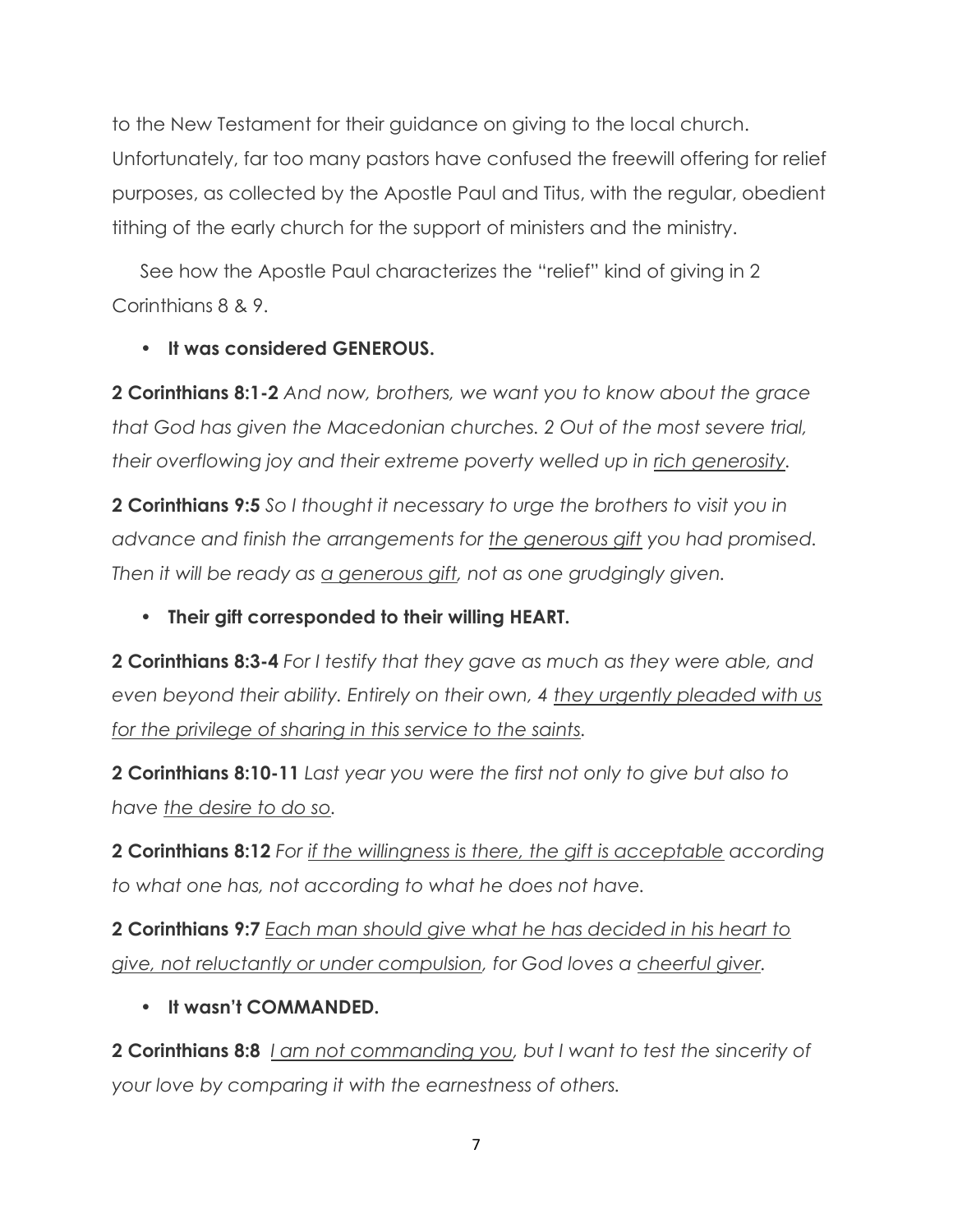to the New Testament for their guidance on giving to the local church. Unfortunately, far too many pastors have confused the freewill offering for relief purposes, as collected by the Apostle Paul and Titus, with the regular, obedient tithing of the early church for the support of ministers and the ministry.

See how the Apostle Paul characterizes the "relief" kind of giving in 2 Corinthians 8 & 9.

#### • **It was considered GENEROUS.**

**2 Corinthians 8:1-2** *And now, brothers, we want you to know about the grace that God has given the Macedonian churches. 2 Out of the most severe trial, their overflowing joy and their extreme poverty welled up in rich generosity.*

**2 Corinthians 9:5** *So I thought it necessary to urge the brothers to visit you in advance and finish the arrangements for the generous gift you had promised. Then it will be ready as a generous gift, not as one grudgingly given.*

• **Their gift corresponded to their willing HEART.**

**2 Corinthians 8:3-4** *For I testify that they gave as much as they were able, and even beyond their ability. Entirely on their own, 4 they urgently pleaded with us for the privilege of sharing in this service to the saints.*

**2 Corinthians 8:10-11** *Last year you were the first not only to give but also to have the desire to do so.*

**2 Corinthians 8:12** *For if the willingness is there, the gift is acceptable according to what one has, not according to what he does not have.*

**2 Corinthians 9:7** *Each man should give what he has decided in his heart to give, not reluctantly or under compulsion, for God loves a cheerful giver.*

• **It wasn't COMMANDED.**

**2 Corinthians 8:8** *I am not commanding you, but I want to test the sincerity of your love by comparing it with the earnestness of others.*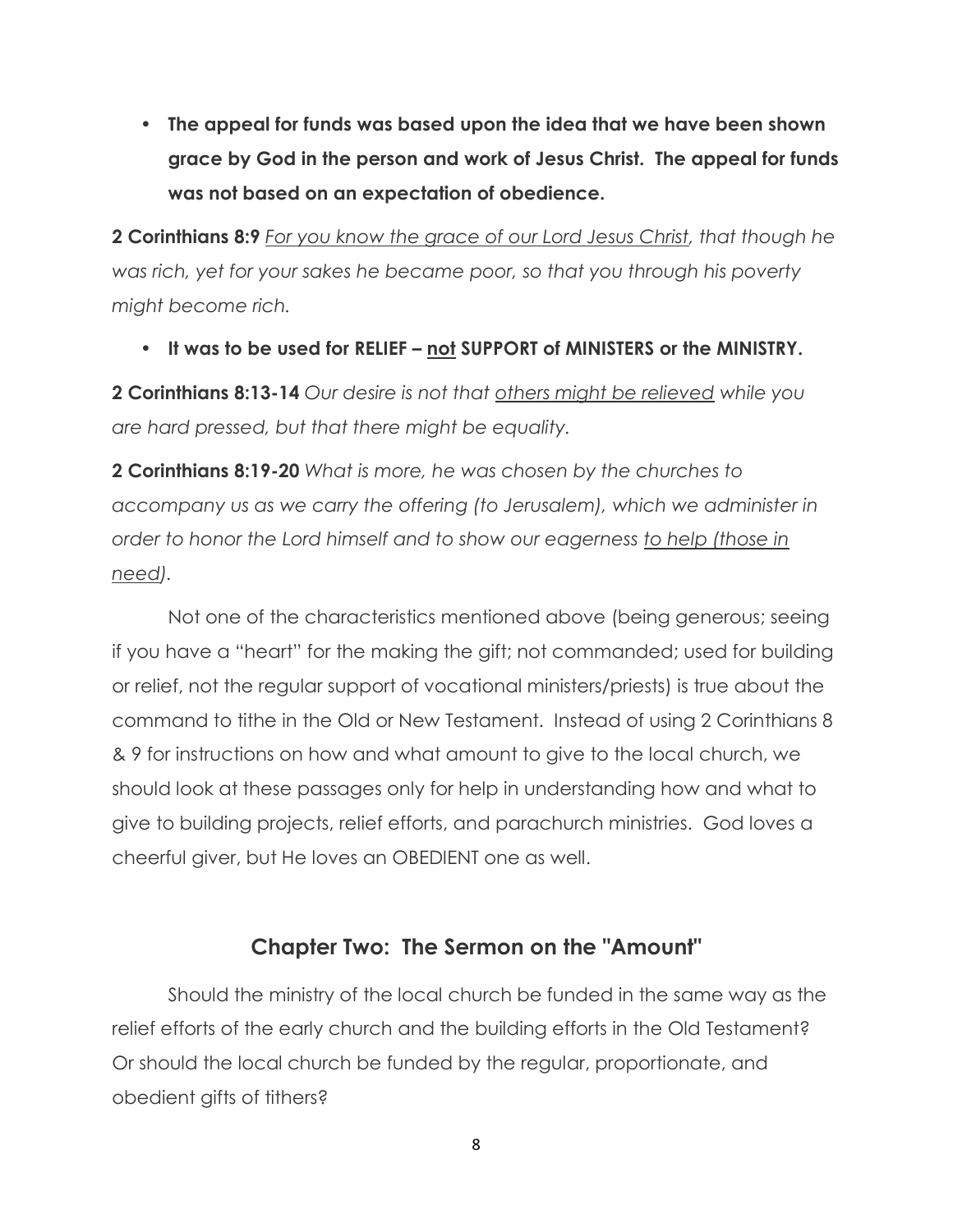• **The appeal for funds was based upon the idea that we have been shown grace by God in the person and work of Jesus Christ. The appeal for funds was not based on an expectation of obedience.**

**2 Corinthians 8:9** *For you know the grace of our Lord Jesus Christ, that though he was rich, yet for your sakes he became poor, so that you through his poverty might become rich.*

• **It was to be used for RELIEF – not SUPPORT of MINISTERS or the MINISTRY.**

**2 Corinthians 8:13-14** *Our desire is not that others might be relieved while you are hard pressed, but that there might be equality.*

**2 Corinthians 8:19-20** *What is more, he was chosen by the churches to accompany us as we carry the offering (to Jerusalem), which we administer in order to honor the Lord himself and to show our eagerness to help (those in need).*

Not one of the characteristics mentioned above (being generous; seeing if you have a "heart" for the making the gift; not commanded; used for building or relief, not the regular support of vocational ministers/priests) is true about the command to tithe in the Old or New Testament. Instead of using 2 Corinthians 8 & 9 for instructions on how and what amount to give to the local church, we should look at these passages only for help in understanding how and what to give to building projects, relief efforts, and parachurch ministries. God loves a cheerful giver, but He loves an OBEDIENT one as well.

#### **Chapter Two: The Sermon on the "Amount"**

Should the ministry of the local church be funded in the same way as the relief efforts of the early church and the building efforts in the Old Testament? Or should the local church be funded by the regular, proportionate, and obedient gifts of tithers?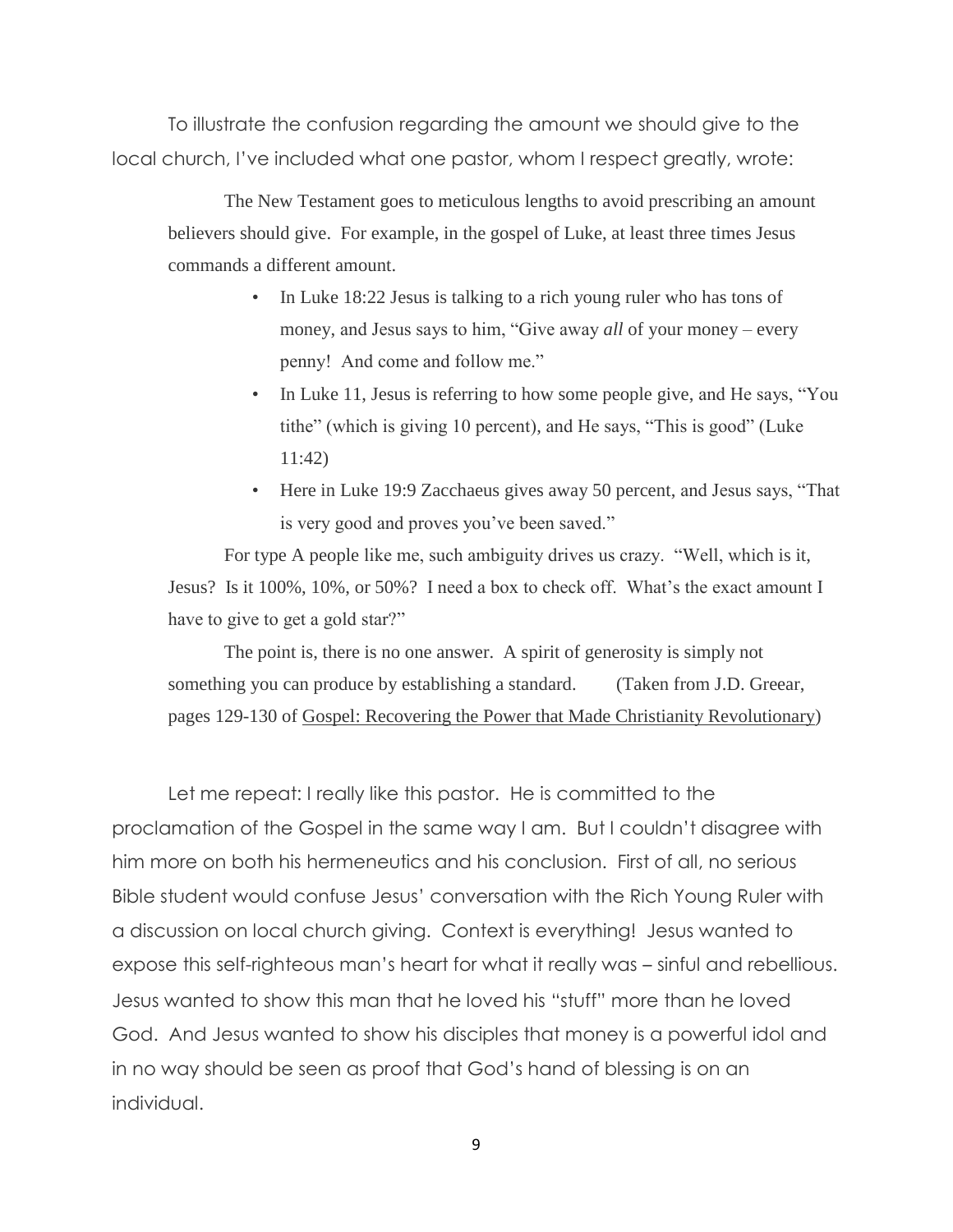To illustrate the confusion regarding the amount we should give to the local church, I've included what one pastor, whom I respect greatly, wrote:

The New Testament goes to meticulous lengths to avoid prescribing an amount believers should give. For example, in the gospel of Luke, at least three times Jesus commands a different amount.

- In Luke 18:22 Jesus is talking to a rich young ruler who has tons of money, and Jesus says to him, "Give away *all* of your money – every penny! And come and follow me."
- In Luke 11, Jesus is referring to how some people give, and He says, "You tithe" (which is giving 10 percent), and He says, "This is good" (Luke 11:42)
- Here in Luke 19:9 Zacchaeus gives away 50 percent, and Jesus says, "That is very good and proves you've been saved."

For type A people like me, such ambiguity drives us crazy. "Well, which is it, Jesus? Is it 100%, 10%, or 50%? I need a box to check off. What's the exact amount I have to give to get a gold star?"

The point is, there is no one answer. A spirit of generosity is simply not something you can produce by establishing a standard. (Taken from J.D. Greear, pages 129-130 of Gospel: Recovering the Power that Made Christianity Revolutionary)

Let me repeat: I really like this pastor. He is committed to the proclamation of the Gospel in the same way I am. But I couldn't disagree with him more on both his hermeneutics and his conclusion. First of all, no serious Bible student would confuse Jesus' conversation with the Rich Young Ruler with a discussion on local church giving. Context is everything! Jesus wanted to expose this self-righteous man's heart for what it really was – sinful and rebellious. Jesus wanted to show this man that he loved his "stuff" more than he loved God. And Jesus wanted to show his disciples that money is a powerful idol and in no way should be seen as proof that God's hand of blessing is on an individual.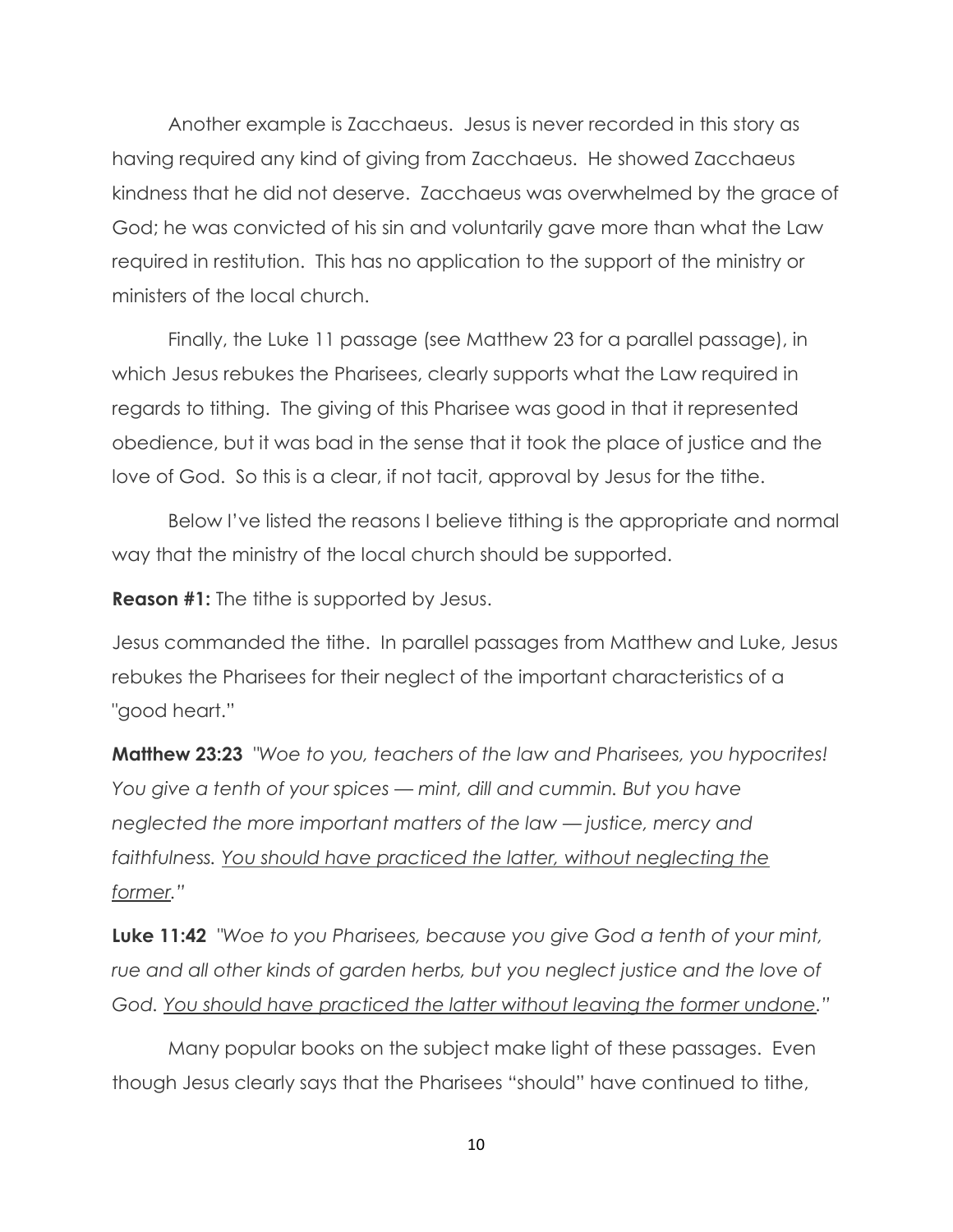Another example is Zacchaeus. Jesus is never recorded in this story as having required any kind of giving from Zacchaeus. He showed Zacchaeus kindness that he did not deserve. Zacchaeus was overwhelmed by the grace of God; he was convicted of his sin and voluntarily gave more than what the Law required in restitution. This has no application to the support of the ministry or ministers of the local church.

Finally, the Luke 11 passage (see Matthew 23 for a parallel passage), in which Jesus rebukes the Pharisees, clearly supports what the Law required in regards to tithing. The giving of this Pharisee was good in that it represented obedience, but it was bad in the sense that it took the place of justice and the love of God. So this is a clear, if not tacit, approval by Jesus for the tithe.

Below I've listed the reasons I believe tithing is the appropriate and normal way that the ministry of the local church should be supported.

**Reason #1:** The tithe is supported by Jesus.

Jesus commanded the tithe. In parallel passages from Matthew and Luke, Jesus rebukes the Pharisees for their neglect of the important characteristics of a "good heart."

**Matthew 23:23** *"Woe to you, teachers of the law and Pharisees, you hypocrites! You give a tenth of your spices — mint, dill and cummin. But you have neglected the more important matters of the law — justice, mercy and faithfulness. You should have practiced the latter, without neglecting the former.‖*

**Luke 11:42** *"Woe to you Pharisees, because you give God a tenth of your mint,*  rue and all other kinds of garden herbs, but you neglect justice and the love of *God. You should have practiced the latter without leaving the former undone.‖*

Many popular books on the subject make light of these passages. Even though Jesus clearly says that the Pharisees "should" have continued to tithe,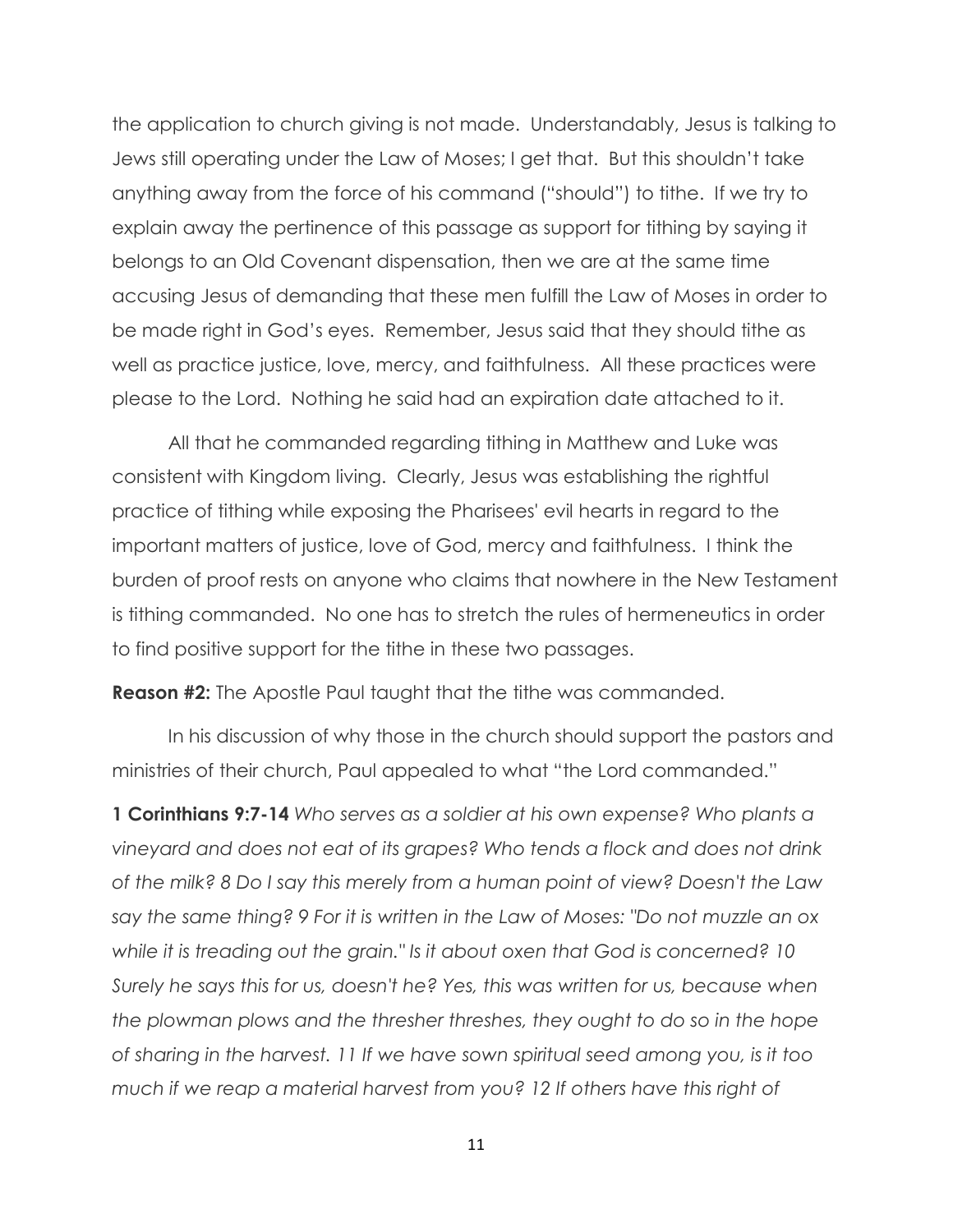the application to church giving is not made. Understandably, Jesus is talking to Jews still operating under the Law of Moses; I get that. But this shouldn't take anything away from the force of his command ("should") to tithe. If we try to explain away the pertinence of this passage as support for tithing by saying it belongs to an Old Covenant dispensation, then we are at the same time accusing Jesus of demanding that these men fulfill the Law of Moses in order to be made right in God's eyes. Remember, Jesus said that they should tithe as well as practice justice, love, mercy, and faithfulness. All these practices were please to the Lord. Nothing he said had an expiration date attached to it.

All that he commanded regarding tithing in Matthew and Luke was consistent with Kingdom living. Clearly, Jesus was establishing the rightful practice of tithing while exposing the Pharisees' evil hearts in regard to the important matters of justice, love of God, mercy and faithfulness. I think the burden of proof rests on anyone who claims that nowhere in the New Testament is tithing commanded. No one has to stretch the rules of hermeneutics in order to find positive support for the tithe in these two passages.

**Reason #2:** The Apostle Paul taught that the tithe was commanded.

In his discussion of why those in the church should support the pastors and ministries of their church, Paul appealed to what "the Lord commanded."

**1 Corinthians 9:7-14** *Who serves as a soldier at his own expense? Who plants a vineyard and does not eat of its grapes? Who tends a flock and does not drink of the milk? 8 Do I say this merely from a human point of view? Doesn't the Law say the same thing? 9 For it is written in the Law of Moses: "Do not muzzle an ox while it is treading out the grain." Is it about oxen that God is concerned? 10 Surely he says this for us, doesn't he? Yes, this was written for us, because when the plowman plows and the thresher threshes, they ought to do so in the hope of sharing in the harvest. 11 If we have sown spiritual seed among you, is it too much if we reap a material harvest from you? 12 If others have this right of*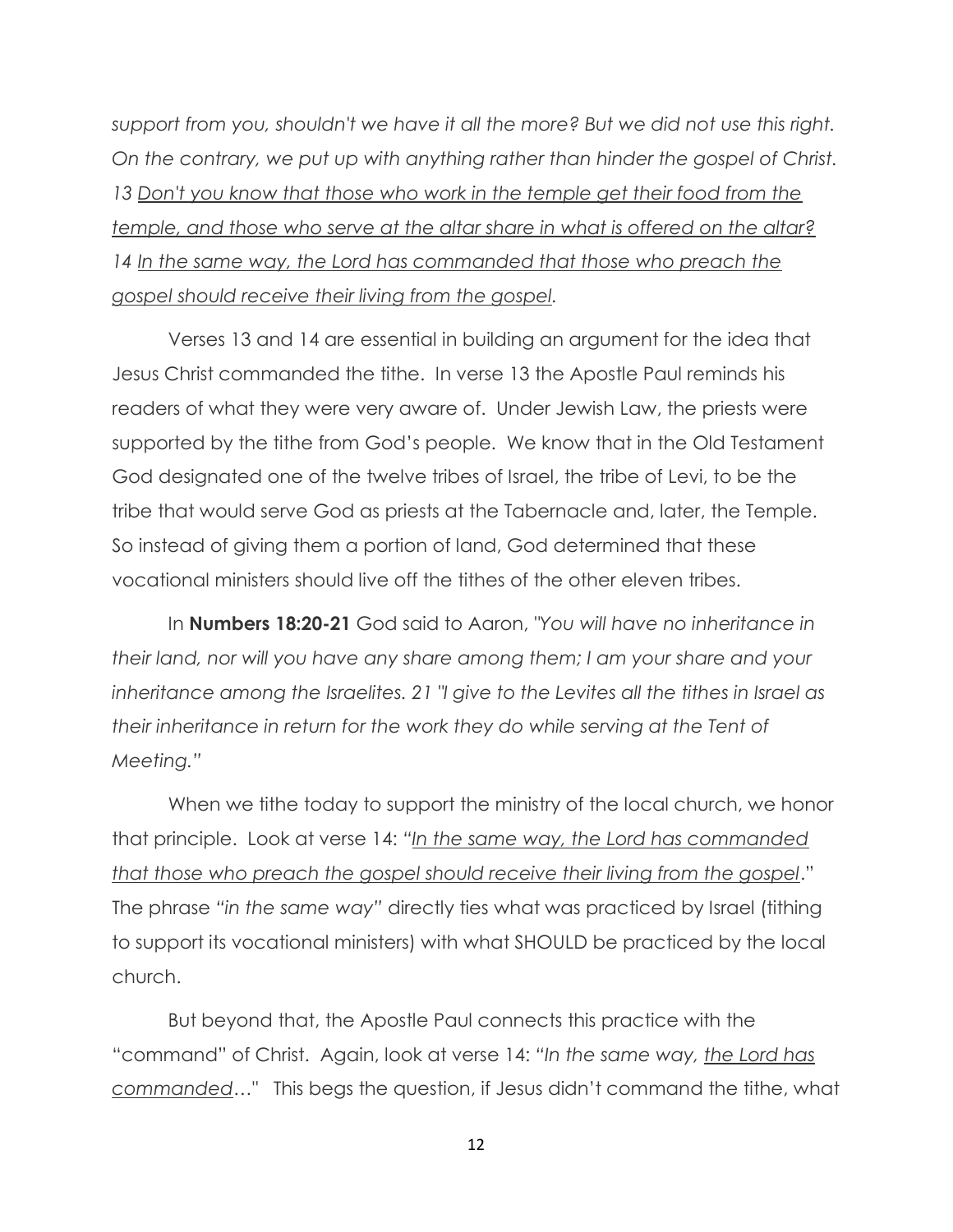*support from you, shouldn't we have it all the more? But we did not use this right. On the contrary, we put up with anything rather than hinder the gospel of Christ. 13 Don't you know that those who work in the temple get their food from the temple, and those who serve at the altar share in what is offered on the altar?* 14 In the same way, the Lord has commanded that those who preach the *gospel should receive their living from the gospel.* 

Verses 13 and 14 are essential in building an argument for the idea that Jesus Christ commanded the tithe. In verse 13 the Apostle Paul reminds his readers of what they were very aware of. Under Jewish Law, the priests were supported by the tithe from God's people. We know that in the Old Testament God designated one of the twelve tribes of Israel, the tribe of Levi, to be the tribe that would serve God as priests at the Tabernacle and, later, the Temple. So instead of giving them a portion of land, God determined that these vocational ministers should live off the tithes of the other eleven tribes.

In **Numbers 18:20-21** God said to Aaron, *"You will have no inheritance in their land, nor will you have any share among them; I am your share and your inheritance among the Israelites. 21 "I give to the Levites all the tithes in Israel as their inheritance in return for the work they do while serving at the Tent of Meeting.‖*

When we tithe today to support the ministry of the local church, we honor that principle. Look at verse 14: "In the same way, the Lord has commanded *that those who preach the gospel should receive their living from the gospel*." The phrase "in the same way" directly ties what was practiced by Israel (tithing to support its vocational ministers) with what SHOULD be practiced by the local church.

But beyond that, the Apostle Paul connects this practice with the "command" of Christ. Again, look at verse 14: *―In the same way, the Lord has commanded…"* This begs the question, if Jesus didn't command the tithe, what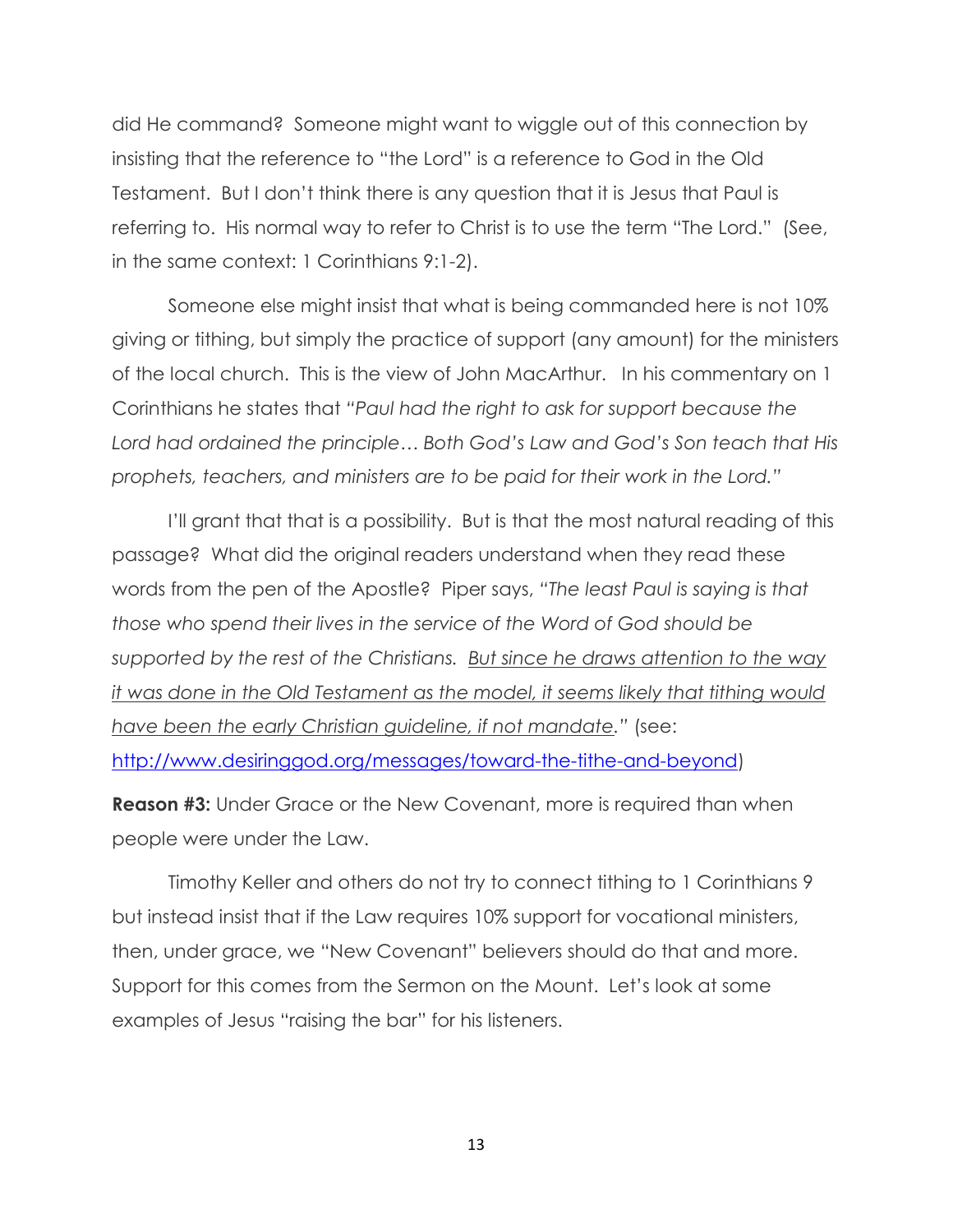did He command? Someone might want to wiggle out of this connection by insisting that the reference to "the Lord" is a reference to God in the Old Testament. But I don't think there is any question that it is Jesus that Paul is referring to. His normal way to refer to Christ is to use the term "The Lord." (See, in the same context: 1 Corinthians 9:1-2).

Someone else might insist that what is being commanded here is not 10% giving or tithing, but simply the practice of support (any amount) for the ministers of the local church. This is the view of John MacArthur. In his commentary on 1 Corinthians he states that "Paul had the right to ask for support because the *Lord had ordained the principle… Both God's Law and God's Son teach that His prophets, teachers, and ministers are to be paid for their work in the Lord.‖*

I'll grant that that is a possibility. But is that the most natural reading of this passage? What did the original readers understand when they read these words from the pen of the Apostle? Piper says, "The least Paul is saying is that *those who spend their lives in the service of the Word of God should be supported by the rest of the Christians. But since he draws attention to the way it was done in the Old Testament as the model, it seems likely that tithing would have been the early Christian guideline, if not mandate.‖* (see: [http://www.desiringgod.org/messages/toward-the-tithe-and-beyond\)](http://www.desiringgod.org/messages/toward-the-tithe-and-beyond)

**Reason #3:** Under Grace or the New Covenant, more is required than when people were under the Law.

Timothy Keller and others do not try to connect tithing to 1 Corinthians 9 but instead insist that if the Law requires 10% support for vocational ministers, then, under grace, we "New Covenant" believers should do that and more. Support for this comes from the Sermon on the Mount. Let's look at some examples of Jesus "raising the bar" for his listeners.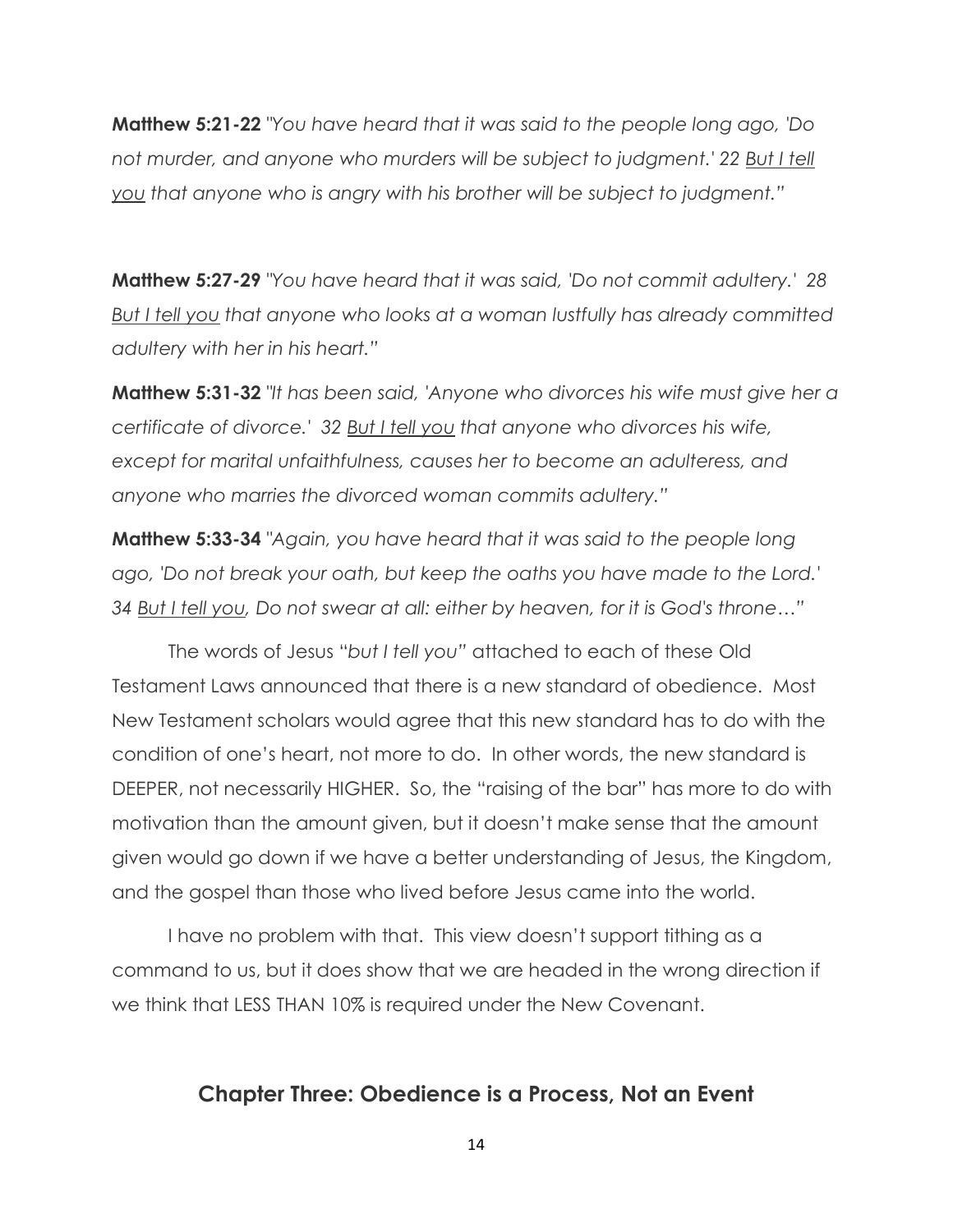**Matthew 5:21-22** *"You have heard that it was said to the people long ago, 'Do*  not murder, and anyone who murders will be subject to judgment.' 22 But I tell *you that anyone who is angry with his brother will be subject to judgment.‖*

**Matthew 5:27-29** *"You have heard that it was said, 'Do not commit adultery.' 28 But I tell you that anyone who looks at a woman lustfully has already committed adultery with her in his heart.‖*

**Matthew 5:31-32** *"It has been said, 'Anyone who divorces his wife must give her a certificate of divorce.' 32 But I tell you that anyone who divorces his wife, except for marital unfaithfulness, causes her to become an adulteress, and anyone who marries the divorced woman commits adultery.‖*

**Matthew 5:33-34** *"Again, you have heard that it was said to the people long ago, 'Do not break your oath, but keep the oaths you have made to the Lord.' 34 But I tell you, Do not swear at all: either by heaven, for it is God's throne…‖*

The words of Jesus "*but I tell you‖* attached to each of these Old Testament Laws announced that there is a new standard of obedience. Most New Testament scholars would agree that this new standard has to do with the condition of one's heart, not more to do. In other words, the new standard is DEEPER, not necessarily HIGHER. So, the "raising of the bar" has more to do with motivation than the amount given, but it doesn't make sense that the amount given would go down if we have a better understanding of Jesus, the Kingdom, and the gospel than those who lived before Jesus came into the world.

I have no problem with that. This view doesn't support tithing as a command to us, but it does show that we are headed in the wrong direction if we think that LESS THAN 10% is required under the New Covenant.

#### **Chapter Three: Obedience is a Process, Not an Event**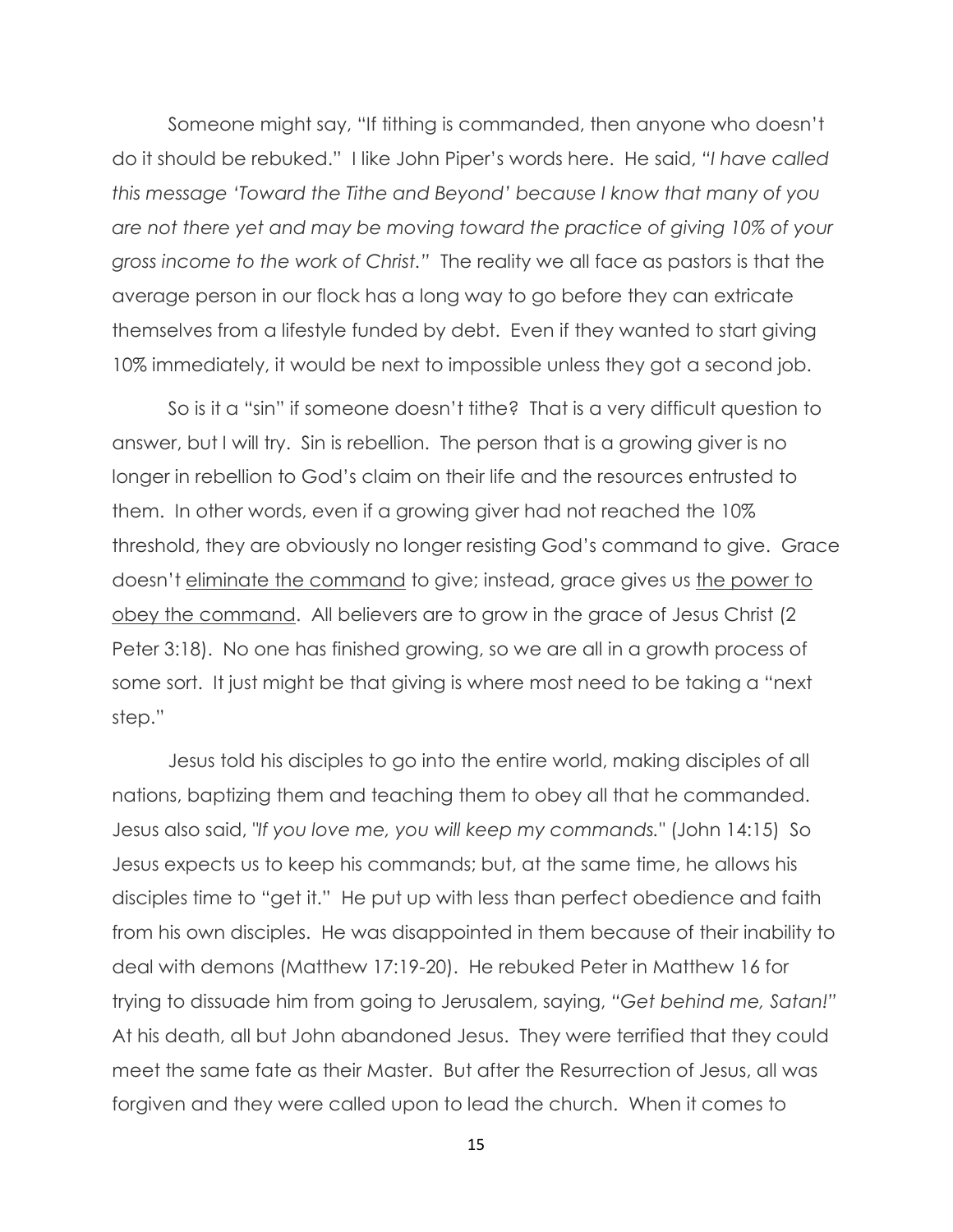Someone might say, "If tithing is commanded, then anyone who doesn't do it should be rebuked." I like John Piper's words here. He said, *―I have called this message ‗Toward the Tithe and Beyond' because I know that many of you are not there yet and may be moving toward the practice of giving 10% of your gross income to the work of Christ.‖* The reality we all face as pastors is that the average person in our flock has a long way to go before they can extricate themselves from a lifestyle funded by debt. Even if they wanted to start giving 10% immediately, it would be next to impossible unless they got a second job.

So is it a "sin" if someone doesn't tithe? That is a very difficult question to answer, but I will try. Sin is rebellion. The person that is a growing giver is no longer in rebellion to God's claim on their life and the resources entrusted to them. In other words, even if a growing giver had not reached the 10% threshold, they are obviously no longer resisting God's command to give. Grace doesn't eliminate the command to give; instead, grace gives us the power to obey the command. All believers are to grow in the grace of Jesus Christ (2 Peter 3:18). No one has finished growing, so we are all in a growth process of some sort. It just might be that giving is where most need to be taking a "next step."

Jesus told his disciples to go into the entire world, making disciples of all nations, baptizing them and teaching them to obey all that he commanded. Jesus also said, *"If you love me, you will keep my commands."* (John 14:15) So Jesus expects us to keep his commands; but, at the same time, he allows his disciples time to "get it." He put up with less than perfect obedience and faith from his own disciples. He was disappointed in them because of their inability to deal with demons (Matthew 17:19-20). He rebuked Peter in Matthew 16 for trying to dissuade him from going to Jerusalem, saying, "Get behind me, Satan!" At his death, all but John abandoned Jesus. They were terrified that they could meet the same fate as their Master. But after the Resurrection of Jesus, all was forgiven and they were called upon to lead the church. When it comes to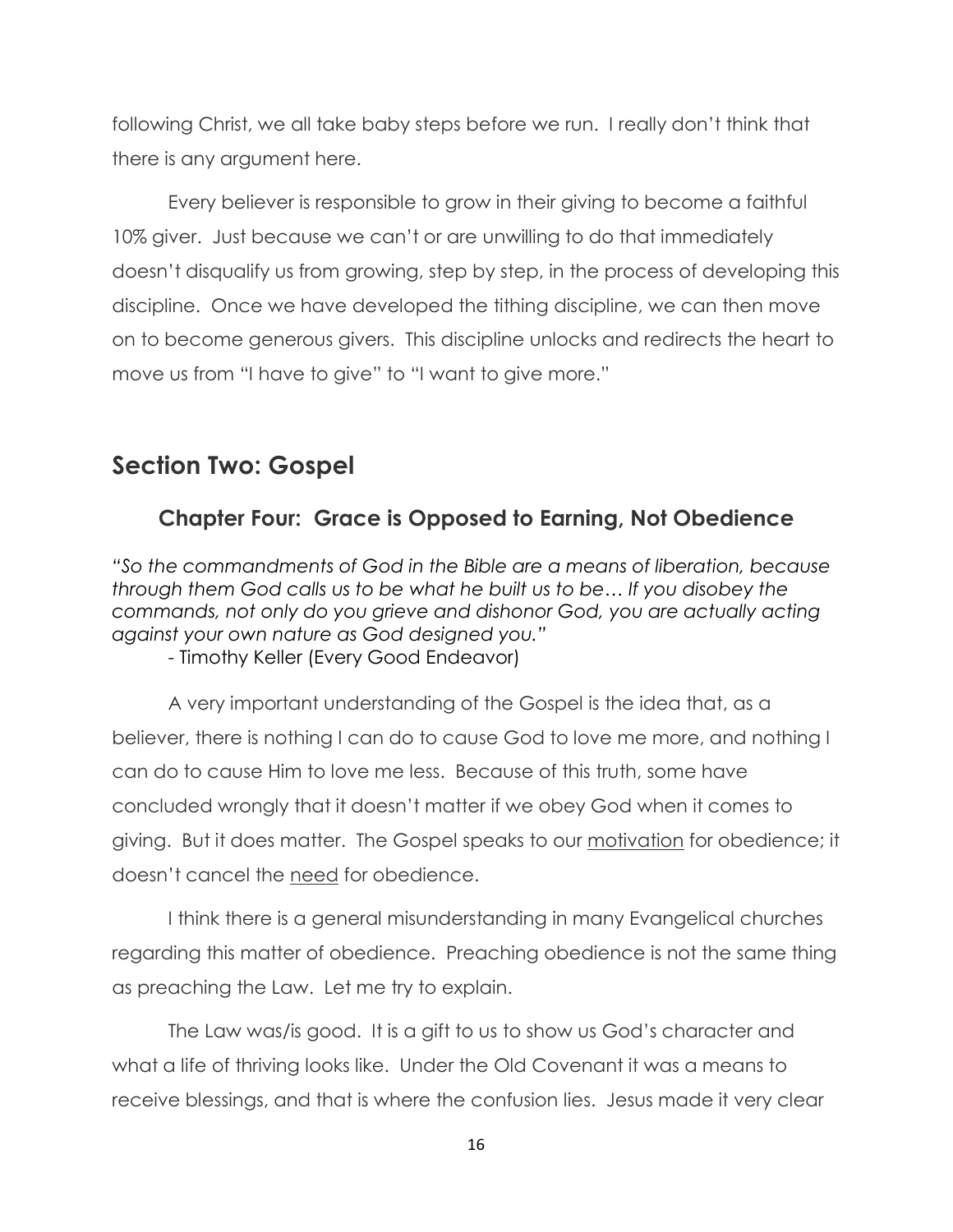following Christ, we all take baby steps before we run. I really don't think that there is any argument here.

Every believer is responsible to grow in their giving to become a faithful 10% giver. Just because we can't or are unwilling to do that immediately doesn't disqualify us from growing, step by step, in the process of developing this discipline. Once we have developed the tithing discipline, we can then move on to become generous givers. This discipline unlocks and redirects the heart to move us from "I have to give" to "I want to give more."

#### **Section Two: Gospel**

#### **Chapter Four: Grace is Opposed to Earning, Not Obedience**

*―So the commandments of God in the Bible are a means of liberation, because through them God calls us to be what he built us to be… If you disobey the commands, not only do you grieve and dishonor God, you are actually acting against your own nature as God designed you.‖*

- Timothy Keller (Every Good Endeavor)

A very important understanding of the Gospel is the idea that, as a believer, there is nothing I can do to cause God to love me more, and nothing I can do to cause Him to love me less. Because of this truth, some have concluded wrongly that it doesn't matter if we obey God when it comes to giving. But it does matter. The Gospel speaks to our motivation for obedience; it doesn't cancel the need for obedience.

I think there is a general misunderstanding in many Evangelical churches regarding this matter of obedience. Preaching obedience is not the same thing as preaching the Law. Let me try to explain.

The Law was/is good. It is a gift to us to show us God's character and what a life of thriving looks like. Under the Old Covenant it was a means to receive blessings, and that is where the confusion lies. Jesus made it very clear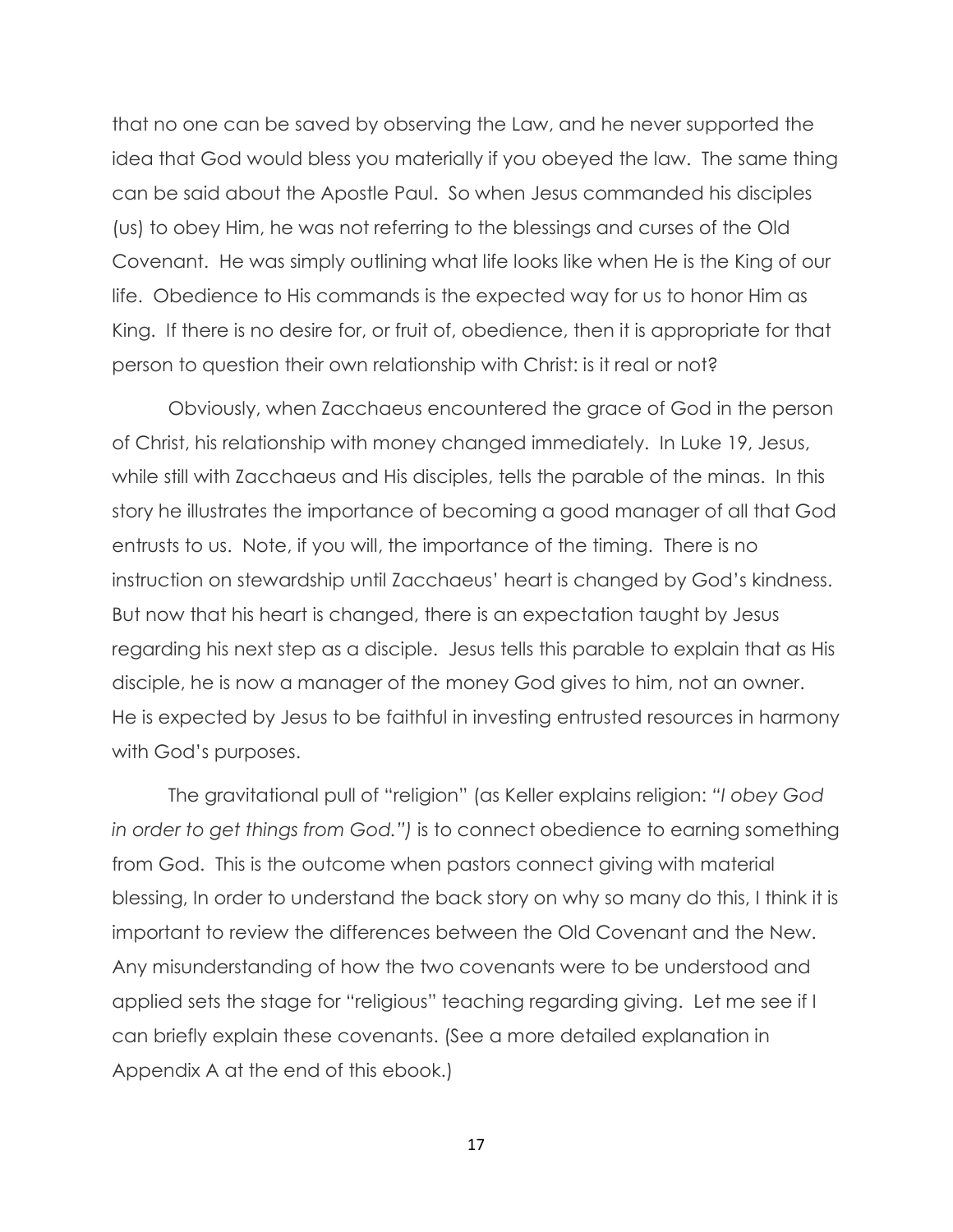that no one can be saved by observing the Law, and he never supported the idea that God would bless you materially if you obeyed the law. The same thing can be said about the Apostle Paul. So when Jesus commanded his disciples (us) to obey Him, he was not referring to the blessings and curses of the Old Covenant. He was simply outlining what life looks like when He is the King of our life. Obedience to His commands is the expected way for us to honor Him as King. If there is no desire for, or fruit of, obedience, then it is appropriate for that person to question their own relationship with Christ: is it real or not?

Obviously, when Zacchaeus encountered the grace of God in the person of Christ, his relationship with money changed immediately. In Luke 19, Jesus, while still with Zacchaeus and His disciples, tells the parable of the minas. In this story he illustrates the importance of becoming a good manager of all that God entrusts to us. Note, if you will, the importance of the timing. There is no instruction on stewardship until Zacchaeus' heart is changed by God's kindness. But now that his heart is changed, there is an expectation taught by Jesus regarding his next step as a disciple. Jesus tells this parable to explain that as His disciple, he is now a manager of the money God gives to him, not an owner. He is expected by Jesus to be faithful in investing entrusted resources in harmony with God's purposes.

The gravitational pull of "religion" (as Keller explains religion: *―I obey God in order to get things from God.‖)* is to connect obedience to earning something from God. This is the outcome when pastors connect giving with material blessing, In order to understand the back story on why so many do this, I think it is important to review the differences between the Old Covenant and the New. Any misunderstanding of how the two covenants were to be understood and applied sets the stage for "religious" teaching regarding giving. Let me see if I can briefly explain these covenants. (See a more detailed explanation in Appendix A at the end of this ebook.)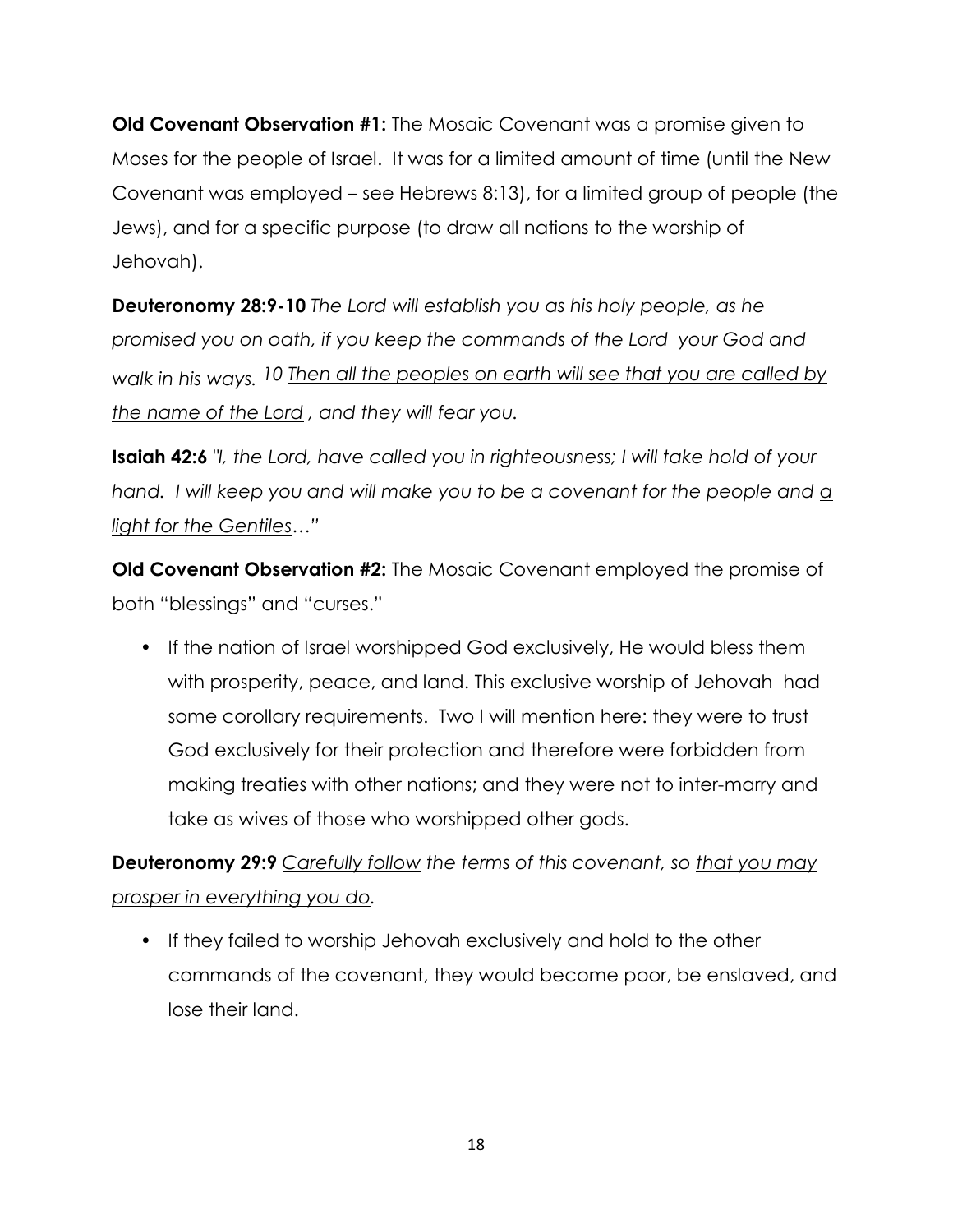**Old Covenant Observation #1:** The Mosaic Covenant was a promise given to Moses for the people of Israel. It was for a limited amount of time (until the New Covenant was employed – see Hebrews 8:13), for a limited group of people (the Jews), and for a specific purpose (to draw all nations to the worship of Jehovah).

**Deuteronomy 28:9-10** *The Lord will establish you as his holy people, as he promised you on oath, if you keep the commands of the Lord your God and*  walk in his ways. 10 Then all the peoples on earth will see that you are called by *the name of the Lord , and they will fear you.*

**Isaiah 42:6** *"I, the Lord, have called you in righteousness; I will take hold of your hand. I will keep you and will make you to be a covenant for the people and a light for the Gentiles…‖*

**Old Covenant Observation #2:** The Mosaic Covenant employed the promise of both "blessings" and "curses."

• If the nation of Israel worshipped God exclusively, He would bless them with prosperity, peace, and land. This exclusive worship of Jehovah had some corollary requirements. Two I will mention here: they were to trust God exclusively for their protection and therefore were forbidden from making treaties with other nations; and they were not to inter-marry and take as wives of those who worshipped other gods.

**Deuteronomy 29:9** *Carefully follow the terms of this covenant, so that you may prosper in everything you do.*

• If they failed to worship Jehovah exclusively and hold to the other commands of the covenant, they would become poor, be enslaved, and lose their land.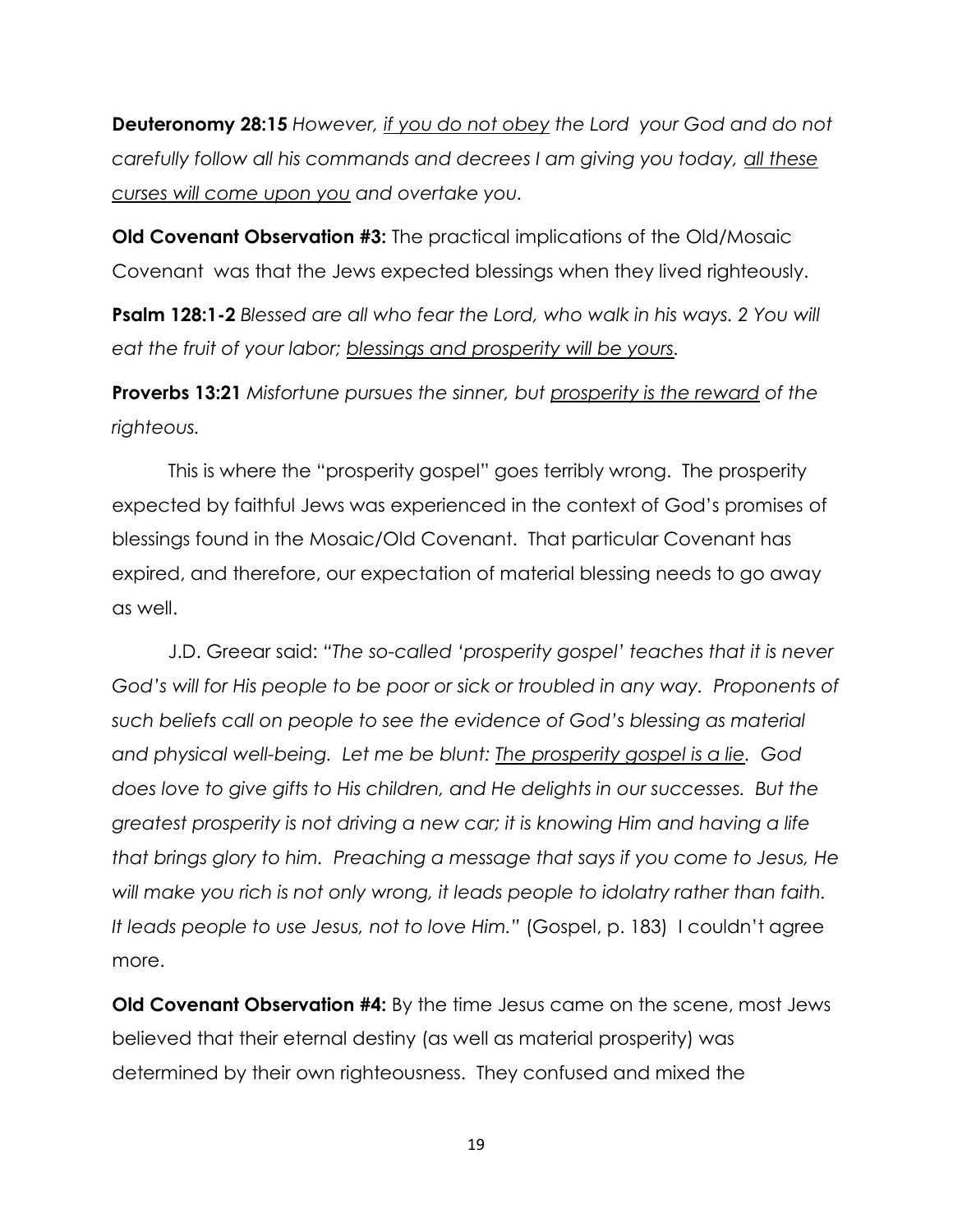**Deuteronomy 28:15** *However, if you do not obey the Lord your God and do not carefully follow all his commands and decrees I am giving you today, all these curses will come upon you and overtake you.*

**Old Covenant Observation #3:** The practical implications of the Old/Mosaic Covenant was that the Jews expected blessings when they lived righteously.

**Psalm 128:1-2** *Blessed are all who fear the Lord, who walk in his ways. 2 You will eat the fruit of your labor; blessings and prosperity will be yours.* 

**Proverbs 13:21** *Misfortune pursues the sinner, but prosperity is the reward of the righteous.*

This is where the "prosperity gospel" goes terribly wrong. The prosperity expected by faithful Jews was experienced in the context of God's promises of blessings found in the Mosaic/Old Covenant. That particular Covenant has expired, and therefore, our expectation of material blessing needs to go away as well.

J.D. Greear said: *―The so-called ‗prosperity gospel' teaches that it is never God's will for His people to be poor or sick or troubled in any way. Proponents of such beliefs call on people to see the evidence of God's blessing as material and physical well-being. Let me be blunt: The prosperity gospel is a lie. God does love to give gifts to His children, and He delights in our successes. But the greatest prosperity is not driving a new car; it is knowing Him and having a life that brings glory to him. Preaching a message that says if you come to Jesus, He will make you rich is not only wrong, it leads people to idolatry rather than faith. It leads people to use Jesus, not to love Him.‖* (Gospel, p. 183) I couldn't agree more.

**Old Covenant Observation #4:** By the time Jesus came on the scene, most Jews believed that their eternal destiny (as well as material prosperity) was determined by their own righteousness. They confused and mixed the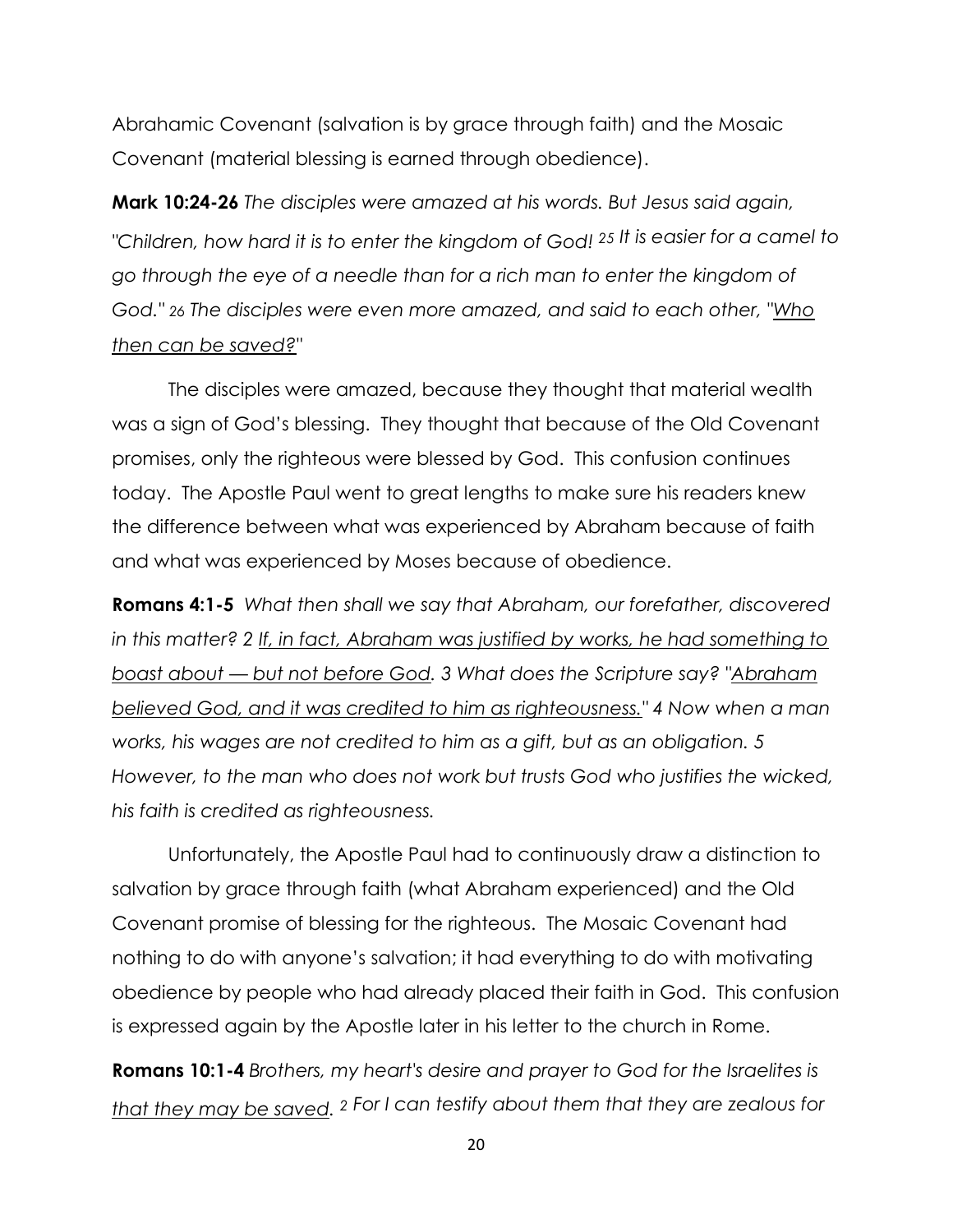Abrahamic Covenant (salvation is by grace through faith) and the Mosaic Covenant (material blessing is earned through obedience).

**Mark 10:24-26** *The disciples were amazed at his words. But Jesus said again, "Children, how hard it is to enter the kingdom of God! <sup>25</sup> It is easier for a camel to go through the eye of a needle than for a rich man to enter the kingdom of God." 26 The disciples were even more amazed, and said to each other, "Who then can be saved?"*

The disciples were amazed, because they thought that material wealth was a sign of God's blessing. They thought that because of the Old Covenant promises, only the righteous were blessed by God. This confusion continues today. The Apostle Paul went to great lengths to make sure his readers knew the difference between what was experienced by Abraham because of faith and what was experienced by Moses because of obedience.

**Romans 4:1-5** *What then shall we say that Abraham, our forefather, discovered in this matter? 2 If, in fact, Abraham was justified by works, he had something to boast about — but not before God. 3 What does the Scripture say? "Abraham believed God, and it was credited to him as righteousness." 4 Now when a man works, his wages are not credited to him as a gift, but as an obligation. 5 However, to the man who does not work but trusts God who justifies the wicked, his faith is credited as righteousness.*

Unfortunately, the Apostle Paul had to continuously draw a distinction to salvation by grace through faith (what Abraham experienced) and the Old Covenant promise of blessing for the righteous. The Mosaic Covenant had nothing to do with anyone's salvation; it had everything to do with motivating obedience by people who had already placed their faith in God. This confusion is expressed again by the Apostle later in his letter to the church in Rome.

**Romans 10:1-4** *Brothers, my heart's desire and prayer to God for the Israelites is that they may be saved. 2 For I can testify about them that they are zealous for*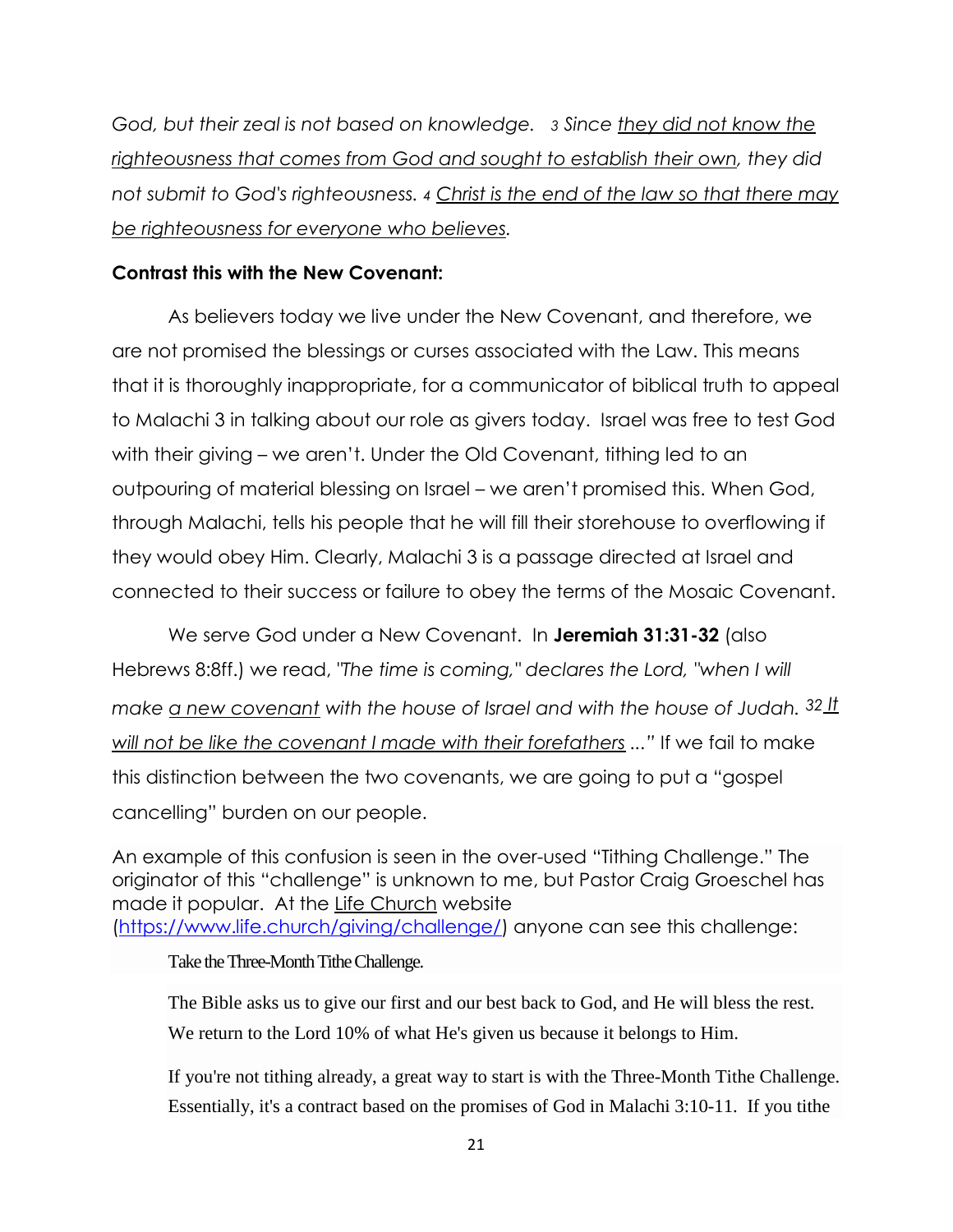*God, but their zeal is not based on knowledge. 3 Since they did not know the righteousness that comes from God and sought to establish their own, they did not submit to God's righteousness. 4 Christ is the end of the law so that there may be righteousness for everyone who believes.*

#### **Contrast this with the New Covenant:**

As believers today we live under the New Covenant, and therefore, we are not promised the blessings or curses associated with the Law. This means that it is thoroughly inappropriate, for a communicator of biblical truth to appeal to Malachi 3 in talking about our role as givers today. Israel was free to test God with their giving – we aren't. Under the Old Covenant, tithing led to an outpouring of material blessing on Israel – we aren't promised this. When God, through Malachi, tells his people that he will fill their storehouse to overflowing if they would obey Him. Clearly, Malachi 3 is a passage directed at Israel and connected to their success or failure to obey the terms of the Mosaic Covenant.

We serve God under a New Covenant. In **Jeremiah 31:31-32** (also Hebrews 8:8ff.) we read, *"The time is coming," declares the Lord, "when I will make a new covenant with the house of Israel and with the house of Judah.*  $32_1$ *will not be like the covenant I made with their forefathers ...‖* If we fail to make this distinction between the two covenants, we are going to put a "gospel cancelling" burden on our people.

An example of this confusion is seen in the over-used "Tithing Challenge." The originator of this "challenge" is unknown to me, but Pastor Craig Groeschel has made it popular.At the Life Church website [\(https://www.life.church/giving/challenge/\)](https://www.life.church/giving/challenge/) anyone can see this challenge:

Take the Three-Month Tithe Challenge.

[The Bible asks us to give](http://bible.com/111/pro.3.9-10.niv) our first and our best back to God, and He will bless the rest. We return to the Lord 10% of what He's given us because it belongs to Him.

If you're not tithing already, a great way to start is with the Three-Month Tithe Challenge. Essentially, it's a contract based on the promises of God in [Malachi 3:10-11.](https://www.bible.com/bible/niv/mal.3.10.niv) If you tithe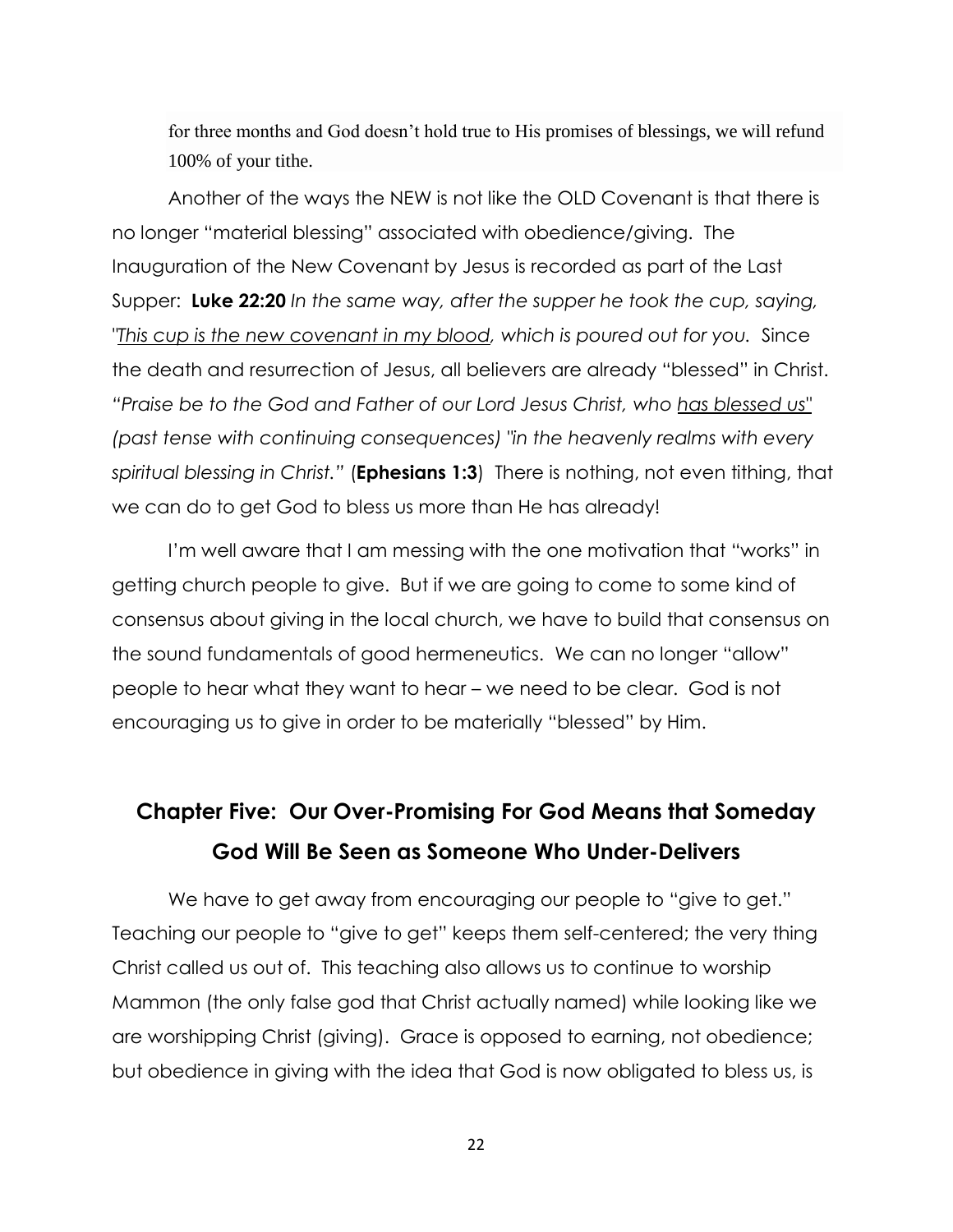for three months and God doesn't hold true to His promises of blessings, we will refund 100% of your tithe.

Another of the ways the NEW is not like the OLD Covenant is that there is no longer "material blessing" associated with obedience/giving. The Inauguration of the New Covenant by Jesus is recorded as part of the Last Supper: **Luke 22:20** *In the same way, after the supper he took the cup, saying, "This cup is the new covenant in my blood, which is poured out for you.* Since the death and resurrection of Jesus, all believers are already "blessed" in Christ. *―Praise be to the God and Father of our Lord Jesus Christ, who has blessed us" (past tense with continuing consequences) "in the heavenly realms with every spiritual blessing in Christ.‖* (**Ephesians 1:3**) There is nothing, not even tithing, that we can do to get God to bless us more than He has already!

I'm well aware that I am messing with the one motivation that "works" in getting church people to give. But if we are going to come to some kind of consensus about giving in the local church, we have to build that consensus on the sound fundamentals of good hermeneutics. We can no longer "allow" people to hear what they want to hear – we need to be clear. God is not encouraging us to give in order to be materially "blessed" by Him.

## **Chapter Five: Our Over-Promising For God Means that Someday God Will Be Seen as Someone Who Under-Delivers**

We have to get away from encouraging our people to "give to get." Teaching our people to "give to get" keeps them self-centered; the very thing Christ called us out of. This teaching also allows us to continue to worship Mammon (the only false god that Christ actually named) while looking like we are worshipping Christ (giving). Grace is opposed to earning, not obedience; but obedience in giving with the idea that God is now obligated to bless us, is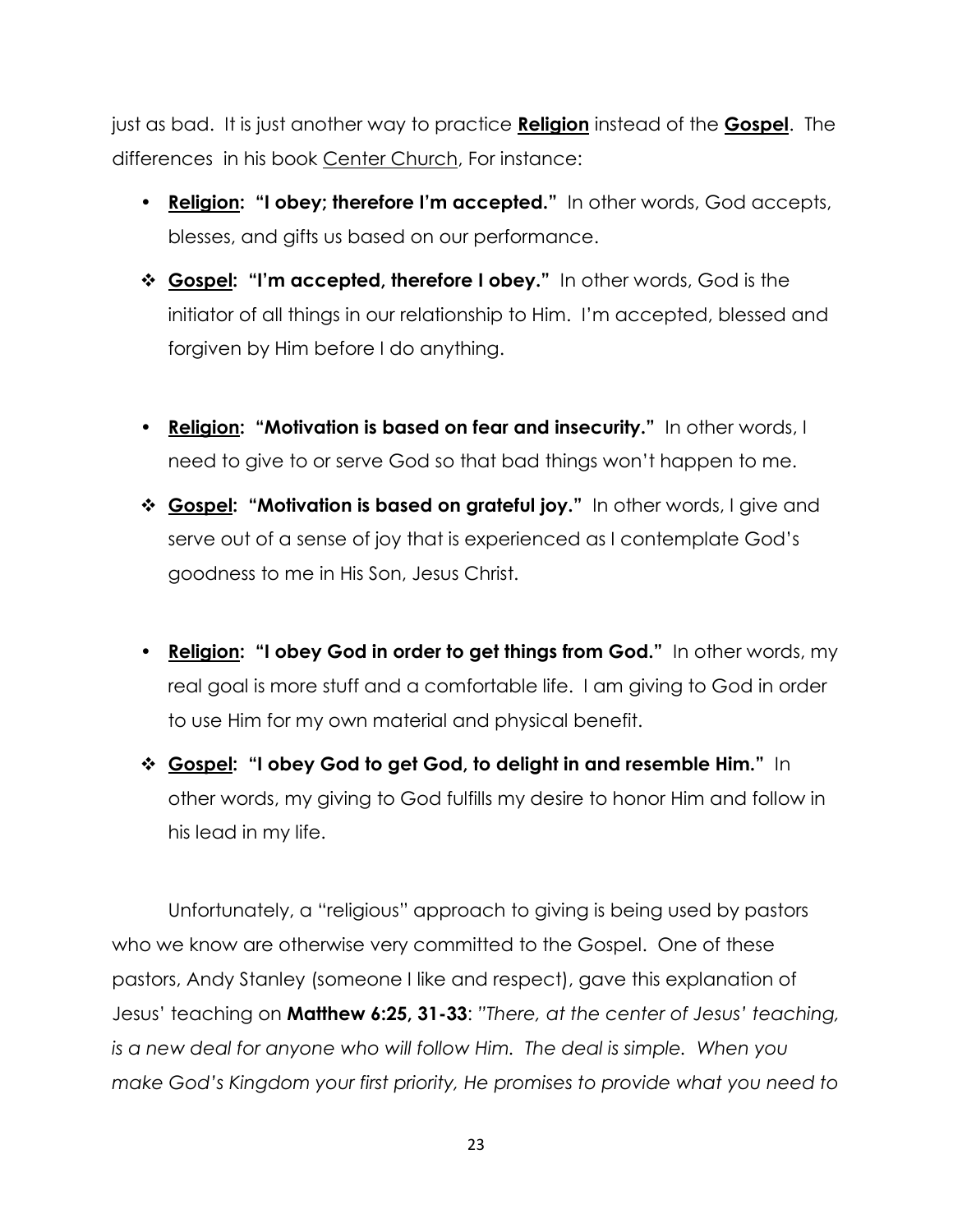just as bad. It is just another way to practice **Religion** instead of the **Gospel**. The differences in his book Center Church, For instance:

- **Religion: "I obey; therefore I'm accepted."** In other words, God accepts, blesses, and gifts us based on our performance.
- **Gospel: "I'm accepted, therefore I obey."** In other words, God is the initiator of all things in our relationship to Him. I'm accepted, blessed and forgiven by Him before I do anything.
- **Religion: "Motivation is based on fear and insecurity."** In other words, I need to give to or serve God so that bad things won't happen to me.
- **Gospel: "Motivation is based on grateful joy."** In other words, I give and serve out of a sense of joy that is experienced as I contemplate God's goodness to me in His Son, Jesus Christ.
- **Religion: "I obey God in order to get things from God."** In other words, my real goal is more stuff and a comfortable life. I am giving to God in order to use Him for my own material and physical benefit.
- **Gospel: "I obey God to get God, to delight in and resemble Him."** In other words, my giving to God fulfills my desire to honor Him and follow in his lead in my life.

Unfortunately, a "religious" approach to giving is being used by pastors who we know are otherwise very committed to the Gospel. One of these pastors, Andy Stanley (someone I like and respect), gave this explanation of Jesus' teaching on **Matthew 6:25, 31-33**: *‖There, at the center of Jesus' teaching, is a new deal for anyone who will follow Him. The deal is simple. When you make God's Kingdom your first priority, He promises to provide what you need to*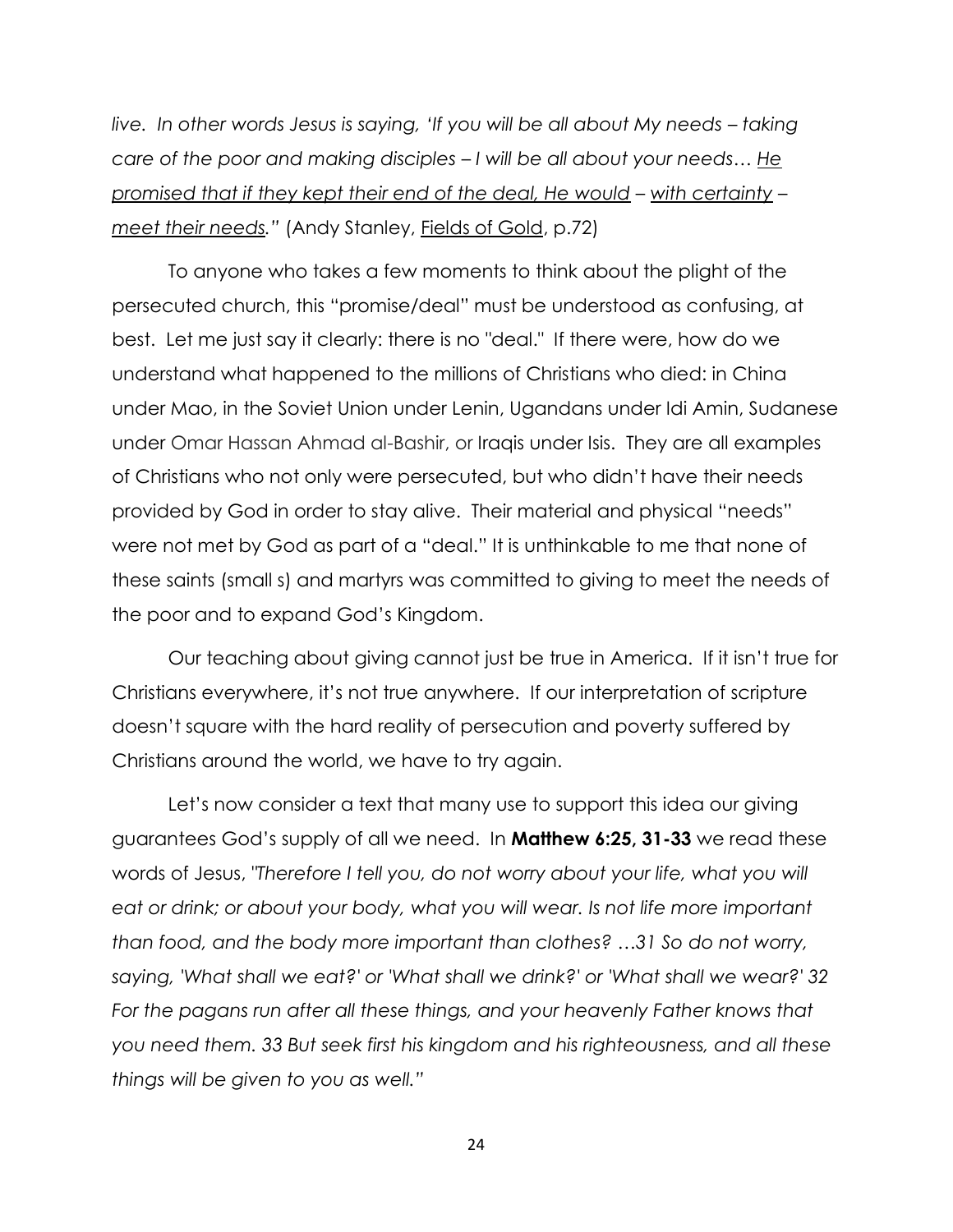*live. In other words Jesus is saying, ‗If you will be all about My needs – taking care of the poor and making disciples – I will be all about your needs… He promised that if they kept their end of the deal, He would – with certainty – meet their needs.‖* (Andy Stanley, Fields of Gold, p.72)

To anyone who takes a few moments to think about the plight of the persecuted church, this "promise/deal" must be understood as confusing, at best. Let me just say it clearly: there is no "deal." If there were, how do we understand what happened to the millions of Christians who died: in China under Mao, in the Soviet Union under Lenin, Ugandans under Idi Amin, Sudanese under Omar Hassan Ahmad al-Bashir, or Iraqis under Isis. They are all examples of Christians who not only were persecuted, but who didn't have their needs provided by God in order to stay alive. Their material and physical "needs" were not met by God as part of a "deal." It is unthinkable to me that none of these saints (small s) and martyrs was committed to giving to meet the needs of the poor and to expand God's Kingdom.

Our teaching about giving cannot just be true in America. If it isn't true for Christians everywhere, it's not true anywhere. If our interpretation of scripture doesn't square with the hard reality of persecution and poverty suffered by Christians around the world, we have to try again.

Let's now consider a text that many use to support this idea our giving guarantees God's supply of all we need. In **Matthew 6:25, 31-33** we read these words of Jesus, *"Therefore I tell you, do not worry about your life, what you will*  eat or drink; or about your body, what you will wear. Is not life more important *than food, and the body more important than clothes? …31 So do not worry, saying, 'What shall we eat?' or 'What shall we drink?' or 'What shall we wear?' 32*  For the pagans run after all these things, and your heavenly Father knows that *you need them. 33 But seek first his kingdom and his righteousness, and all these things will be given to you as well.‖*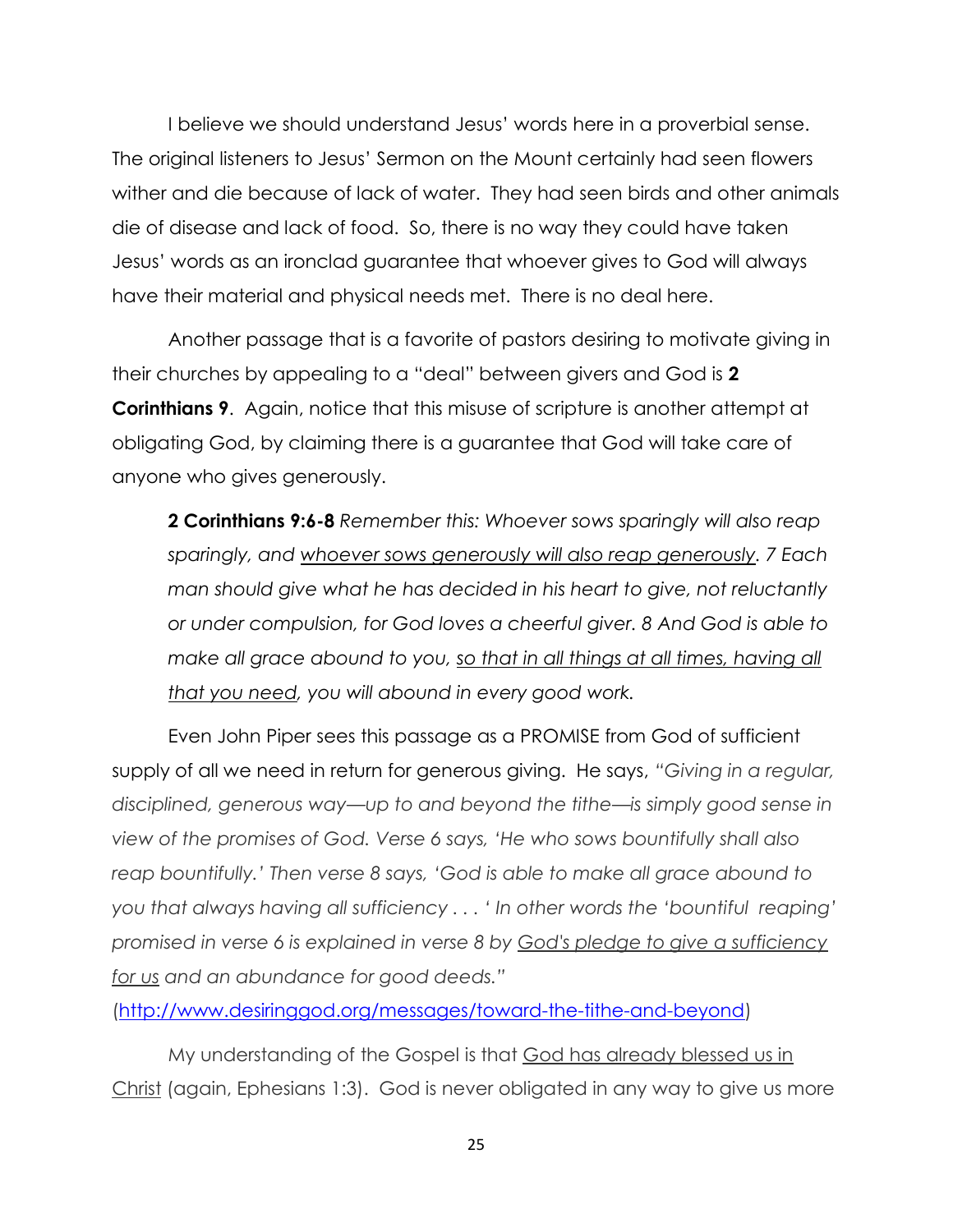I believe we should understand Jesus' words here in a proverbial sense. The original listeners to Jesus' Sermon on the Mount certainly had seen flowers wither and die because of lack of water. They had seen birds and other animals die of disease and lack of food. So, there is no way they could have taken Jesus' words as an ironclad guarantee that whoever gives to God will always have their material and physical needs met. There is no deal here.

Another passage that is a favorite of pastors desiring to motivate giving in their churches by appealing to a "deal" between givers and God is **2 Corinthians 9**. Again, notice that this misuse of scripture is another attempt at obligating God, by claiming there is a guarantee that God will take care of anyone who gives generously.

**2 Corinthians 9:6-8** *Remember this: Whoever sows sparingly will also reap sparingly, and whoever sows generously will also reap generously. 7 Each man should give what he has decided in his heart to give, not reluctantly or under compulsion, for God loves a cheerful giver. 8 And God is able to make all grace abound to you, so that in all things at all times, having all that you need, you will abound in every good work.*

Even John Piper sees this passage as a PROMISE from God of sufficient supply of all we need in return for generous giving. He says, "Giving in a regular, *disciplined, generous way—up to and beyond the tithe—is simply good sense in view of the promises of God. Verse 6 says, ‗He who sows bountifully shall also reap bountifully.' Then verse 8 says, ‗God is able to make all grace abound to you that always having all sufficiency . . . ‗ In other words the ‗bountiful reaping' promised in verse 6 is explained in verse 8 by God's pledge to give a sufficiency for us and an abundance for good deeds.‖*

[\(http://www.desiringgod.org/messages/toward-the-tithe-and-beyond\)](http://www.desiringgod.org/messages/toward-the-tithe-and-beyond)

My understanding of the Gospel is that God has already blessed us in Christ (again, Ephesians 1:3). God is never obligated in any way to give us more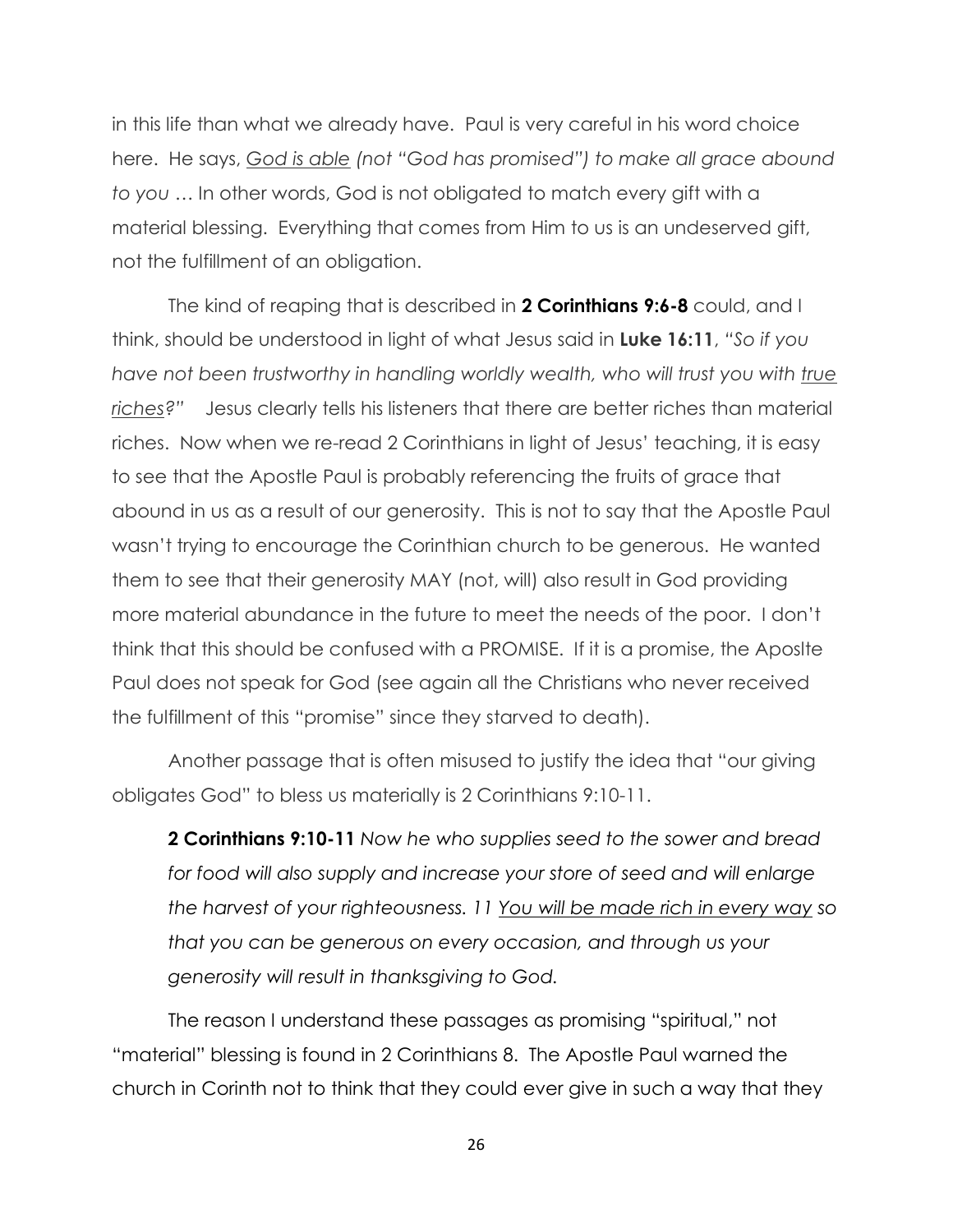in this life than what we already have. Paul is very careful in his word choice here. He says, God is able (not "God has promised") to make all grace abound *to you* … In other words, God is not obligated to match every gift with a material blessing. Everything that comes from Him to us is an undeserved gift, not the fulfillment of an obligation.

The kind of reaping that is described in **2 Corinthians 9:6-8** could, and I think, should be understood in light of what Jesus said in Luke 16:11, "So if you *have not been trustworthy in handling worldly wealth, who will trust you with true riches?‖* Jesus clearly tells his listeners that there are better riches than material riches. Now when we re-read 2 Corinthians in light of Jesus' teaching, it is easy to see that the Apostle Paul is probably referencing the fruits of grace that abound in us as a result of our generosity. This is not to say that the Apostle Paul wasn't trying to encourage the Corinthian church to be generous. He wanted them to see that their generosity MAY (not, will) also result in God providing more material abundance in the future to meet the needs of the poor. I don't think that this should be confused with a PROMISE. If it is a promise, the Aposlte Paul does not speak for God (see again all the Christians who never received the fulfillment of this "promise" since they starved to death).

Another passage that is often misused to justify the idea that "our giving obligates God" to bless us materially is 2 Corinthians 9:10-11.

**2 Corinthians 9:10-11** *Now he who supplies seed to the sower and bread for food will also supply and increase your store of seed and will enlarge the harvest of your righteousness. 11 You will be made rich in every way so that you can be generous on every occasion, and through us your generosity will result in thanksgiving to God.* 

The reason I understand these passages as promising "spiritual," not "material" blessing is found in 2 Corinthians 8. The Apostle Paul warned the church in Corinth not to think that they could ever give in such a way that they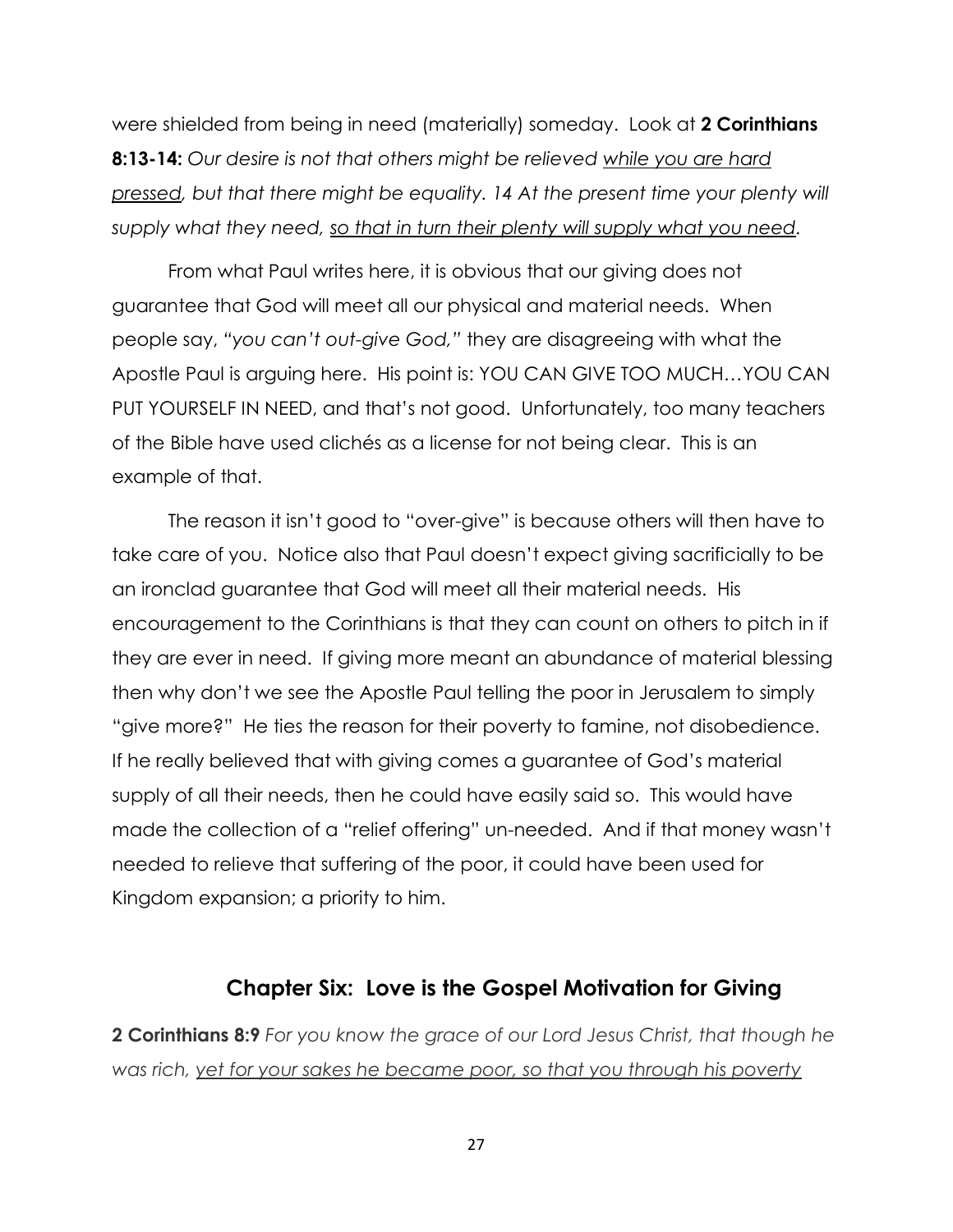were shielded from being in need (materially) someday. Look at **2 Corinthians 8:13-14:** *Our desire is not that others might be relieved while you are hard pressed, but that there might be equality. 14 At the present time your plenty will supply what they need, so that in turn their plenty will supply what you need.* 

From what Paul writes here, it is obvious that our giving does not guarantee that God will meet all our physical and material needs. When people say, *―you can't out-give God,‖* they are disagreeing with what the Apostle Paul is arguing here. His point is: YOU CAN GIVE TOO MUCH…YOU CAN PUT YOURSELF IN NEED, and that's not good. Unfortunately, too many teachers of the Bible have used clichés as a license for not being clear. This is an example of that.

The reason it isn't good to "over-give" is because others will then have to take care of you. Notice also that Paul doesn't expect giving sacrificially to be an ironclad guarantee that God will meet all their material needs. His encouragement to the Corinthians is that they can count on others to pitch in if they are ever in need. If giving more meant an abundance of material blessing then why don't we see the Apostle Paul telling the poor in Jerusalem to simply "give more?" He ties the reason for their poverty to famine, not disobedience. If he really believed that with giving comes a guarantee of God's material supply of all their needs, then he could have easily said so. This would have made the collection of a "relief offering" un-needed. And if that money wasn't needed to relieve that suffering of the poor, it could have been used for Kingdom expansion; a priority to him.

#### **Chapter Six: Love is the Gospel Motivation for Giving**

**2 Corinthians 8:9** *For you know the grace of our Lord Jesus Christ, that though he was rich, yet for your sakes he became poor, so that you through his poverty*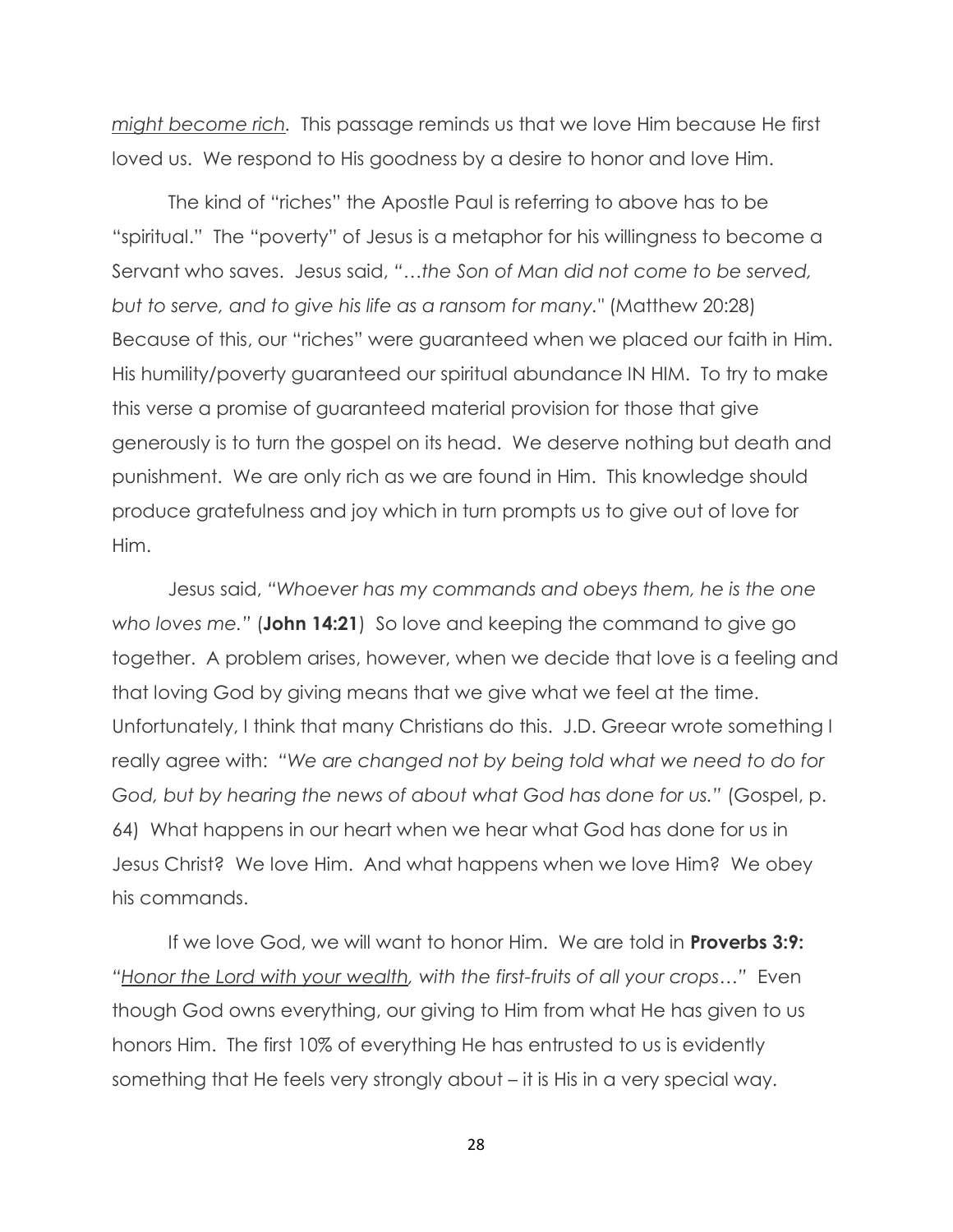*might become rich.* This passage reminds us that we love Him because He first loved us. We respond to His goodness by a desire to honor and love Him.

The kind of "riches" the Apostle Paul is referring to above has to be "spiritual." The "poverty" of Jesus is a metaphor for his willingness to become a Servant who saves. Jesus said, "...the Son of Man did not come to be served, *but to serve, and to give his life as a ransom for many."* (Matthew 20:28) Because of this, our "riches" were guaranteed when we placed our faith in Him. His humility/poverty guaranteed our spiritual abundance IN HIM. To try to make this verse a promise of guaranteed material provision for those that give generously is to turn the gospel on its head. We deserve nothing but death and punishment. We are only rich as we are found in Him. This knowledge should produce gratefulness and joy which in turn prompts us to give out of love for Him.

Jesus said, "Whoever has my commands and obeys them, he is the one *who loves me.‖* (**John 14:21**) So love and keeping the command to give go together. A problem arises, however, when we decide that love is a feeling and that loving God by giving means that we give what we feel at the time. Unfortunately, I think that many Christians do this. J.D. Greear wrote something I really agree with: "We are changed not by being told what we need to do for *God, but by hearing the news of about what God has done for us.‖* (Gospel, p. 64) What happens in our heart when we hear what God has done for us in Jesus Christ? We love Him. And what happens when we love Him? We obey his commands.

If we love God, we will want to honor Him. We are told in **Proverbs 3:9:** *―Honor the Lord with your wealth, with the first-fruits of all your crops…‖* Even though God owns everything, our giving to Him from what He has given to us honors Him. The first 10% of everything He has entrusted to us is evidently something that He feels very strongly about – it is His in a very special way.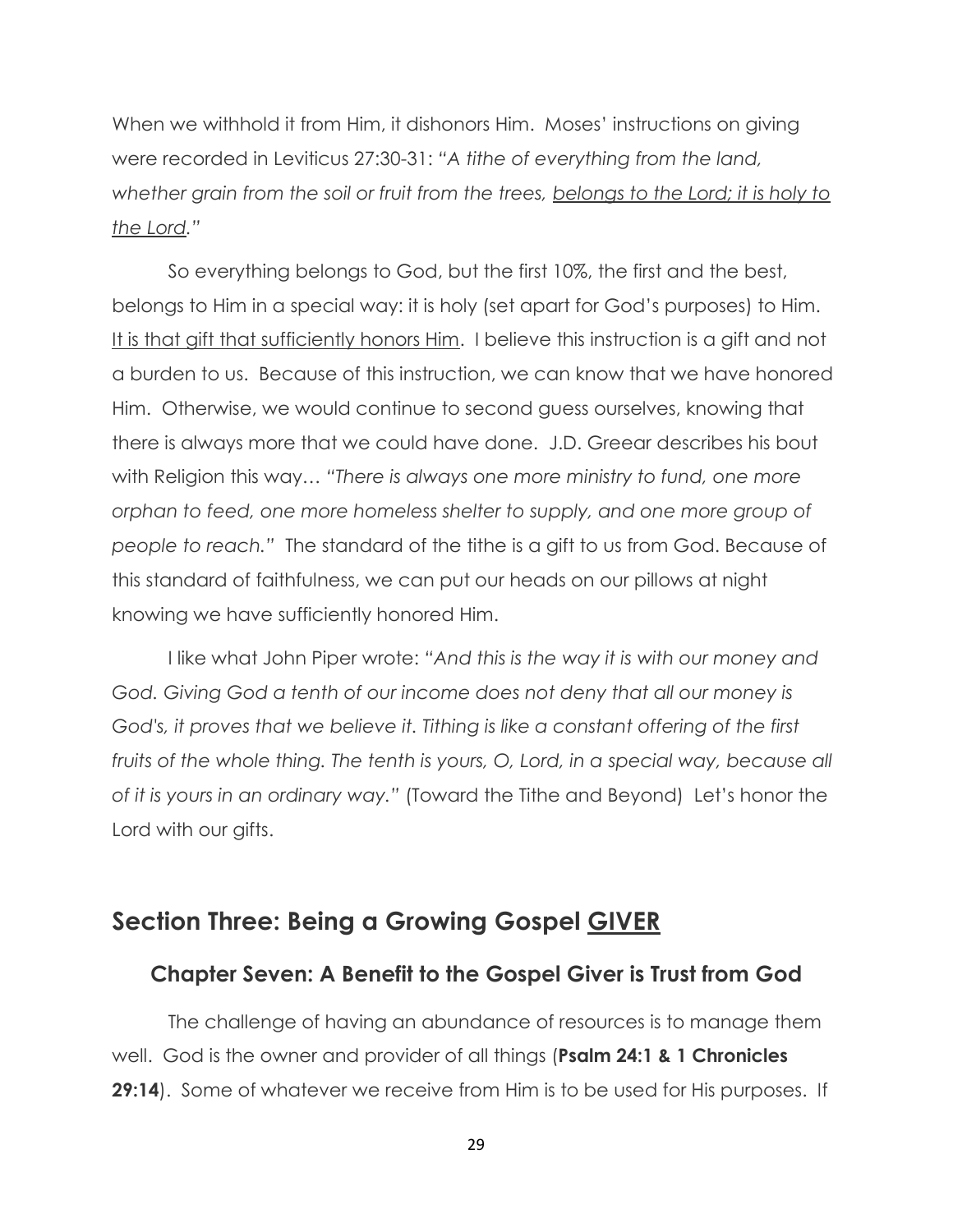When we withhold it from Him, it dishonors Him. Moses' instructions on giving were recorded in Leviticus 27:30-31: "A tithe of everything from the land, *whether grain from the soil or fruit from the trees, belongs to the Lord; it is holy to the Lord.‖*

So everything belongs to God, but the first 10%, the first and the best, belongs to Him in a special way: it is holy (set apart for God's purposes) to Him. It is that gift that sufficiently honors Him. I believe this instruction is a gift and not a burden to us. Because of this instruction, we can know that we have honored Him. Otherwise, we would continue to second guess ourselves, knowing that there is always more that we could have done. J.D. Greear describes his bout with Religion this way... "There is always one more ministry to fund, one more *orphan to feed, one more homeless shelter to supply, and one more group of people to reach.‖* The standard of the tithe is a gift to us from God. Because of this standard of faithfulness, we can put our heads on our pillows at night knowing we have sufficiently honored Him.

I like what John Piper wrote: "And this is the way it is with our money and *God. Giving God a tenth of our income does not deny that all our money is God's, it proves that we believe it. Tithing is like a constant offering of the first fruits of the whole thing. The tenth is yours, O, Lord, in a special way, because all of it is yours in an ordinary way.‖* (Toward the Tithe and Beyond) Let's honor the Lord with our gifts.

#### **Section Three: Being a Growing Gospel GIVER**

#### **Chapter Seven: A Benefit to the Gospel Giver is Trust from God**

The challenge of having an abundance of resources is to manage them well. God is the owner and provider of all things (**Psalm 24:1 & 1 Chronicles 29:14**). Some of whatever we receive from Him is to be used for His purposes. If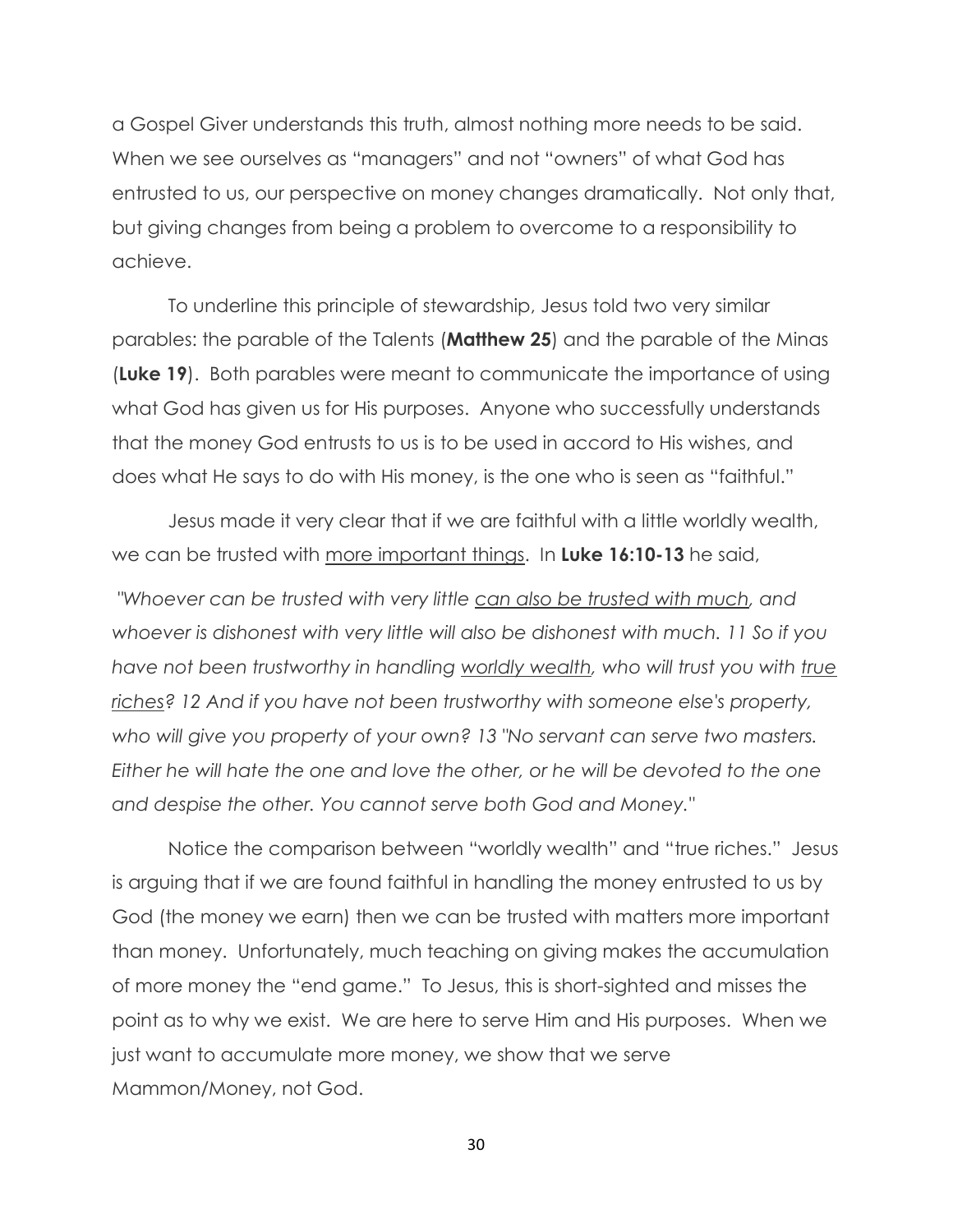a Gospel Giver understands this truth, almost nothing more needs to be said. When we see ourselves as "managers" and not "owners" of what God has entrusted to us, our perspective on money changes dramatically. Not only that, but giving changes from being a problem to overcome to a responsibility to achieve.

To underline this principle of stewardship, Jesus told two very similar parables: the parable of the Talents (**Matthew 25**) and the parable of the Minas (**Luke 19**). Both parables were meant to communicate the importance of using what God has given us for His purposes. Anyone who successfully understands that the money God entrusts to us is to be used in accord to His wishes, and does what He says to do with His money, is the one who is seen as "faithful."

Jesus made it very clear that if we are faithful with a little worldly wealth, we can be trusted with more important things. In **Luke 16:10-13** he said,

*"Whoever can be trusted with very little can also be trusted with much, and whoever is dishonest with very little will also be dishonest with much. 11 So if you have not been trustworthy in handling worldly wealth, who will trust you with true riches? 12 And if you have not been trustworthy with someone else's property, who will give you property of your own? 13 "No servant can serve two masters. Either he will hate the one and love the other, or he will be devoted to the one and despise the other. You cannot serve both God and Money."* 

Notice the comparison between "worldly wealth" and "true riches." Jesus is arguing that if we are found faithful in handling the money entrusted to us by God (the money we earn) then we can be trusted with matters more important than money. Unfortunately, much teaching on giving makes the accumulation of more money the "end game." To Jesus, this is short-sighted and misses the point as to why we exist. We are here to serve Him and His purposes. When we just want to accumulate more money, we show that we serve Mammon/Money, not God.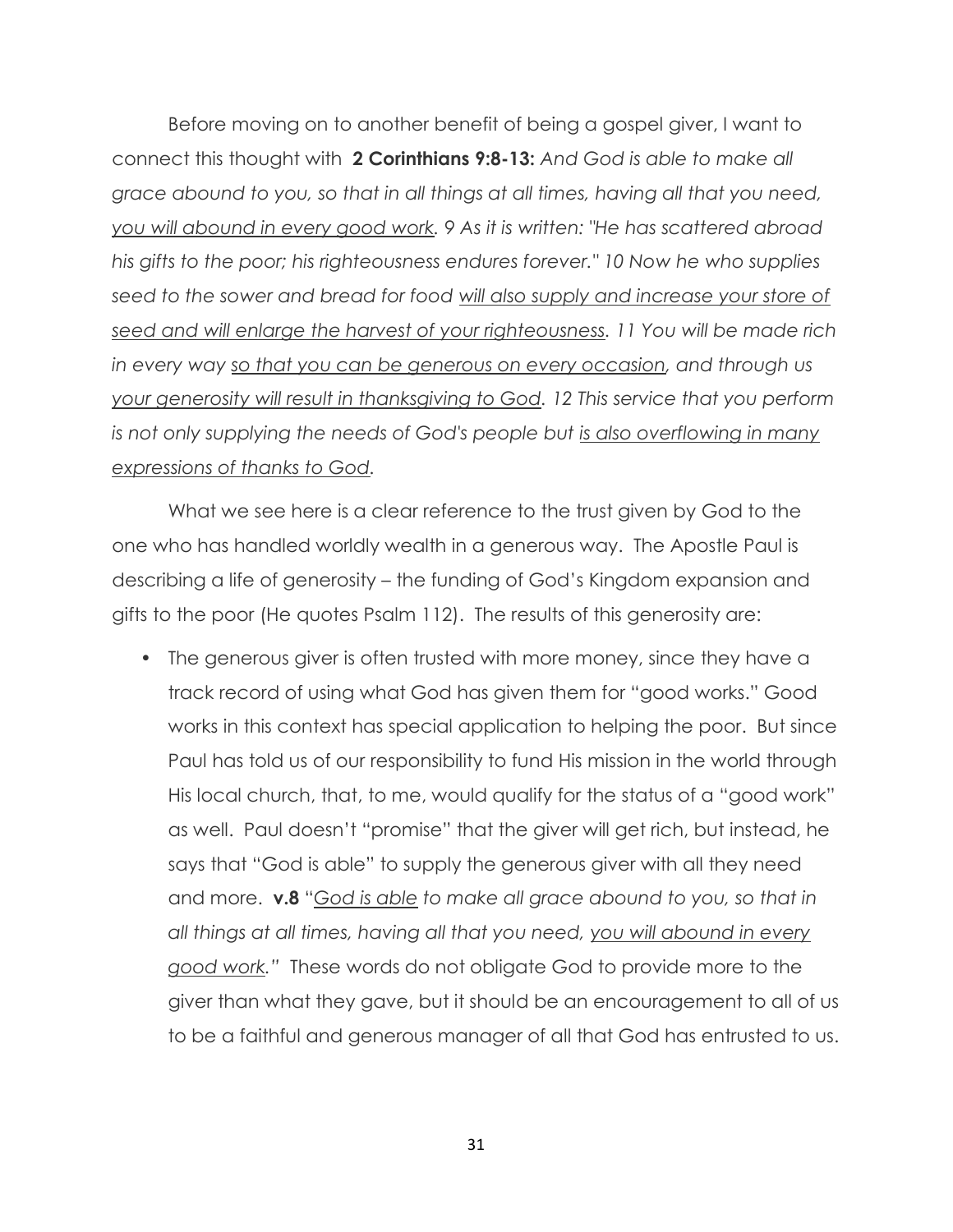Before moving on to another benefit of being a gospel giver, I want to connect this thought with **2 Corinthians 9:8-13:** *And God is able to make all grace abound to you, so that in all things at all times, having all that you need, you will abound in every good work. 9 As it is written: "He has scattered abroad his gifts to the poor; his righteousness endures forever." 10 Now he who supplies seed to the sower and bread for food will also supply and increase your store of seed and will enlarge the harvest of your righteousness. 11 You will be made rich in every way so that you can be generous on every occasion, and through us your generosity will result in thanksgiving to God. 12 This service that you perform is not only supplying the needs of God's people but is also overflowing in many expressions of thanks to God.*

What we see here is a clear reference to the trust given by God to the one who has handled worldly wealth in a generous way. The Apostle Paul is describing a life of generosity – the funding of God's Kingdom expansion and gifts to the poor (He quotes Psalm 112). The results of this generosity are:

• The generous giver is often trusted with more money, since they have a track record of using what God has given them for "good works." Good works in this context has special application to helping the poor. But since Paul has told us of our responsibility to fund His mission in the world through His local church, that, to me, would qualify for the status of a "good work" as well. Paul doesn't "promise" that the giver will get rich, but instead, he says that "God is able" to supply the generous giver with all they need and more. **v.8** "*God is able to make all grace abound to you, so that in all things at all times, having all that you need, you will abound in every good work.‖* These words do not obligate God to provide more to the giver than what they gave, but it should be an encouragement to all of us to be a faithful and generous manager of all that God has entrusted to us.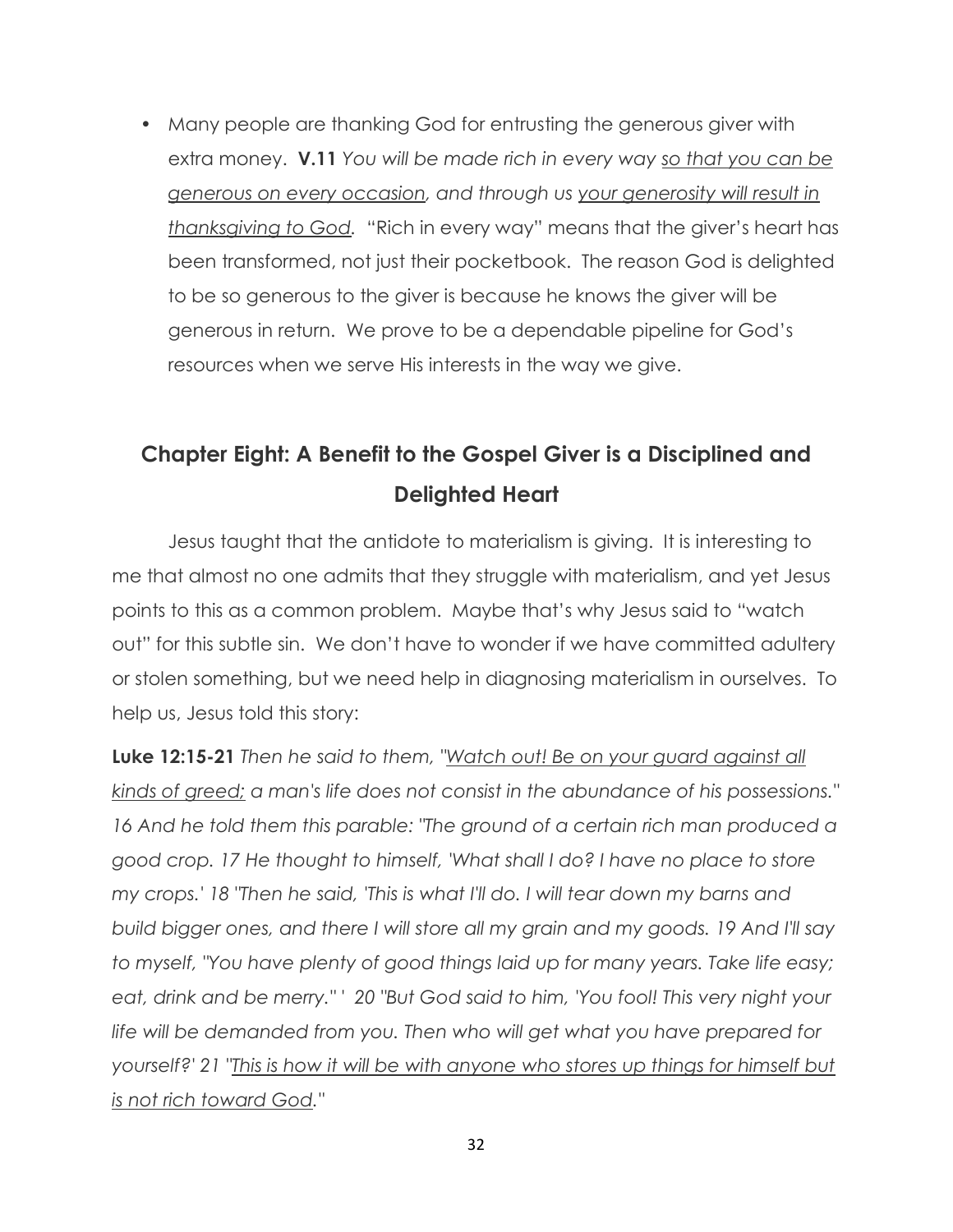• Many people are thanking God for entrusting the generous giver with extra money. **V.11** *You will be made rich in every way so that you can be generous on every occasion, and through us your generosity will result in thanksgiving to God.* "Rich in every way" means that the giver's heart has been transformed, not just their pocketbook. The reason God is delighted to be so generous to the giver is because he knows the giver will be generous in return. We prove to be a dependable pipeline for God's resources when we serve His interests in the way we give.

### **Chapter Eight: A Benefit to the Gospel Giver is a Disciplined and Delighted Heart**

Jesus taught that the antidote to materialism is giving. It is interesting to me that almost no one admits that they struggle with materialism, and yet Jesus points to this as a common problem. Maybe that's why Jesus said to "watch out" for this subtle sin. We don't have to wonder if we have committed adultery or stolen something, but we need help in diagnosing materialism in ourselves. To help us, Jesus told this story:

**Luke 12:15-21** *Then he said to them, "Watch out! Be on your guard against all kinds of greed; a man's life does not consist in the abundance of his possessions." 16 And he told them this parable: "The ground of a certain rich man produced a good crop. 17 He thought to himself, 'What shall I do? I have no place to store my crops.' 18 "Then he said, 'This is what I'll do. I will tear down my barns and build bigger ones, and there I will store all my grain and my goods. 19 And I'll say to myself, "You have plenty of good things laid up for many years. Take life easy; eat, drink and be merry." ' 20 "But God said to him, 'You fool! This very night your life will be demanded from you. Then who will get what you have prepared for yourself?' 21 "This is how it will be with anyone who stores up things for himself but is not rich toward God."*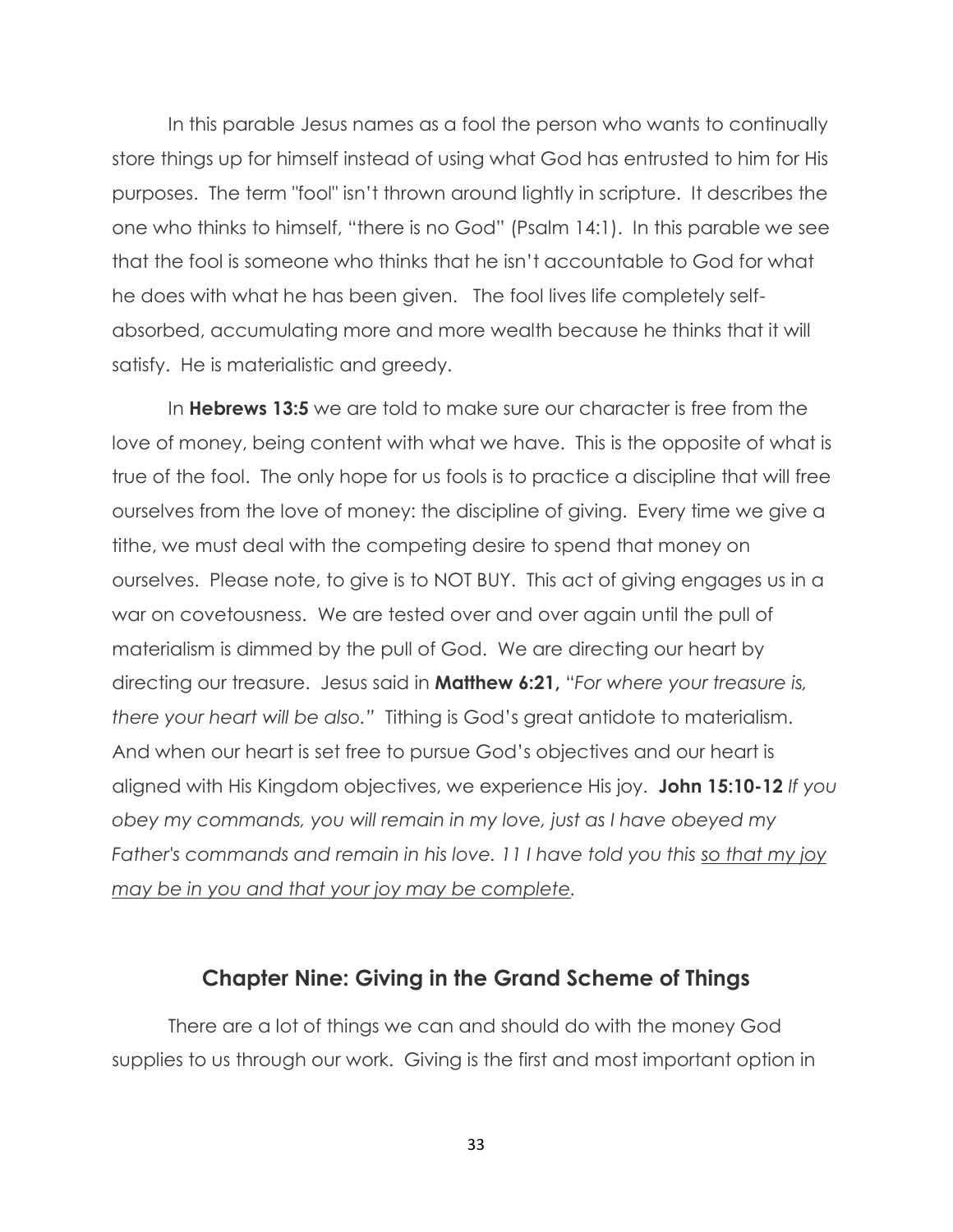In this parable Jesus names as a fool the person who wants to continually store things up for himself instead of using what God has entrusted to him for His purposes. The term "fool" isn't thrown around lightly in scripture. It describes the one who thinks to himself, "there is no God" (Psalm 14:1). In this parable we see that the fool is someone who thinks that he isn't accountable to God for what he does with what he has been given. The fool lives life completely selfabsorbed, accumulating more and more wealth because he thinks that it will satisfy. He is materialistic and greedy.

In **Hebrews 13:5** we are told to make sure our character is free from the love of money, being content with what we have. This is the opposite of what is true of the fool. The only hope for us fools is to practice a discipline that will free ourselves from the love of money: the discipline of giving. Every time we give a tithe, we must deal with the competing desire to spend that money on ourselves. Please note, to give is to NOT BUY. This act of giving engages us in a war on covetousness. We are tested over and over again until the pull of materialism is dimmed by the pull of God. We are directing our heart by directing our treasure. Jesus said in **Matthew 6:21,** "*For where your treasure is, there your heart will be also.‖* Tithing is God's great antidote to materialism. And when our heart is set free to pursue God's objectives and our heart is aligned with His Kingdom objectives, we experience His joy. **John 15:10-12** *If you obey my commands, you will remain in my love, just as I have obeyed my Father's commands and remain in his love. 11 I have told you this so that my joy may be in you and that your joy may be complete.*

#### **Chapter Nine: Giving in the Grand Scheme of Things**

There are a lot of things we can and should do with the money God supplies to us through our work. Giving is the first and most important option in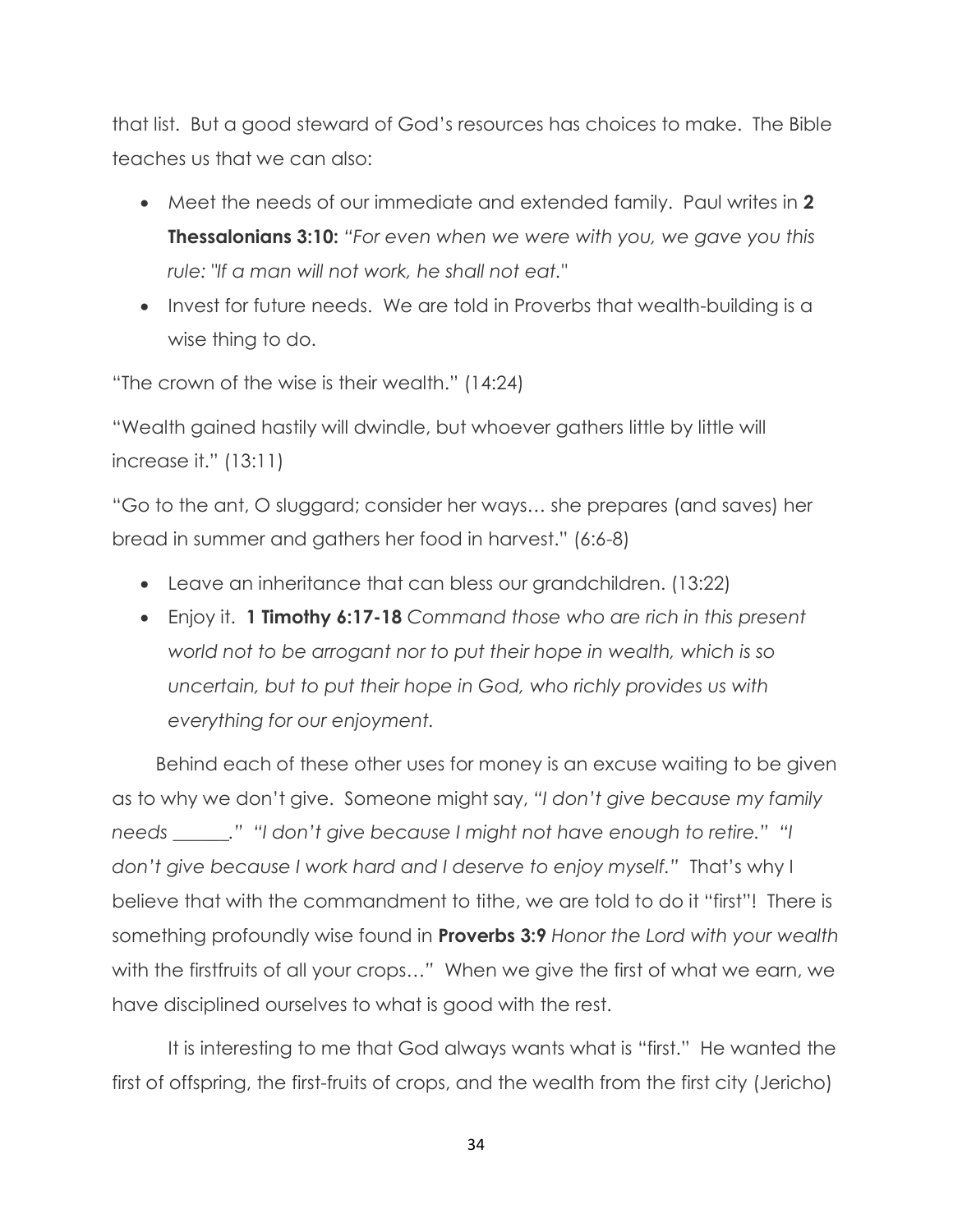that list. But a good steward of God's resources has choices to make. The Bible teaches us that we can also:

- Meet the needs of our immediate and extended family. Paul writes in **2 Thessalonians 3:10:** *"For even when we were with you, we gave you this rule: "If a man will not work, he shall not eat."*
- Invest for future needs. We are told in Proverbs that wealth-building is a wise thing to do.

"The crown of the wise is their wealth." (14:24)

"Wealth gained hastily will dwindle, but whoever gathers little by little will increase it." (13:11)

"Go to the ant, O sluggard; consider her ways… she prepares (and saves) her bread in summer and gathers her food in harvest." (6:6-8)

- Leave an inheritance that can bless our grandchildren. (13:22)
- Enjoy it. **1 Timothy 6:17-18** *Command those who are rich in this present world not to be arrogant nor to put their hope in wealth, which is so uncertain, but to put their hope in God, who richly provides us with everything for our enjoyment.*

 Behind each of these other uses for money is an excuse waiting to be given as to why we don't give. Someone might say, "I don't give because my family *needs \_\_\_\_\_\_.‖ ―I don't give because I might not have enough to retire.‖ ―I don't give because I work hard and I deserve to enjoy myself.‖* That's why I believe that with the commandment to tithe, we are told to do it "first"! There is something profoundly wise found in **Proverbs 3:9** *Honor the Lord with your wealth* with the firstfruits of all your crops..." When we give the first of what we earn, we have disciplined ourselves to what is good with the rest.

It is interesting to me that God always wants what is "first." He wanted the first of offspring, the first-fruits of crops, and the wealth from the first city (Jericho)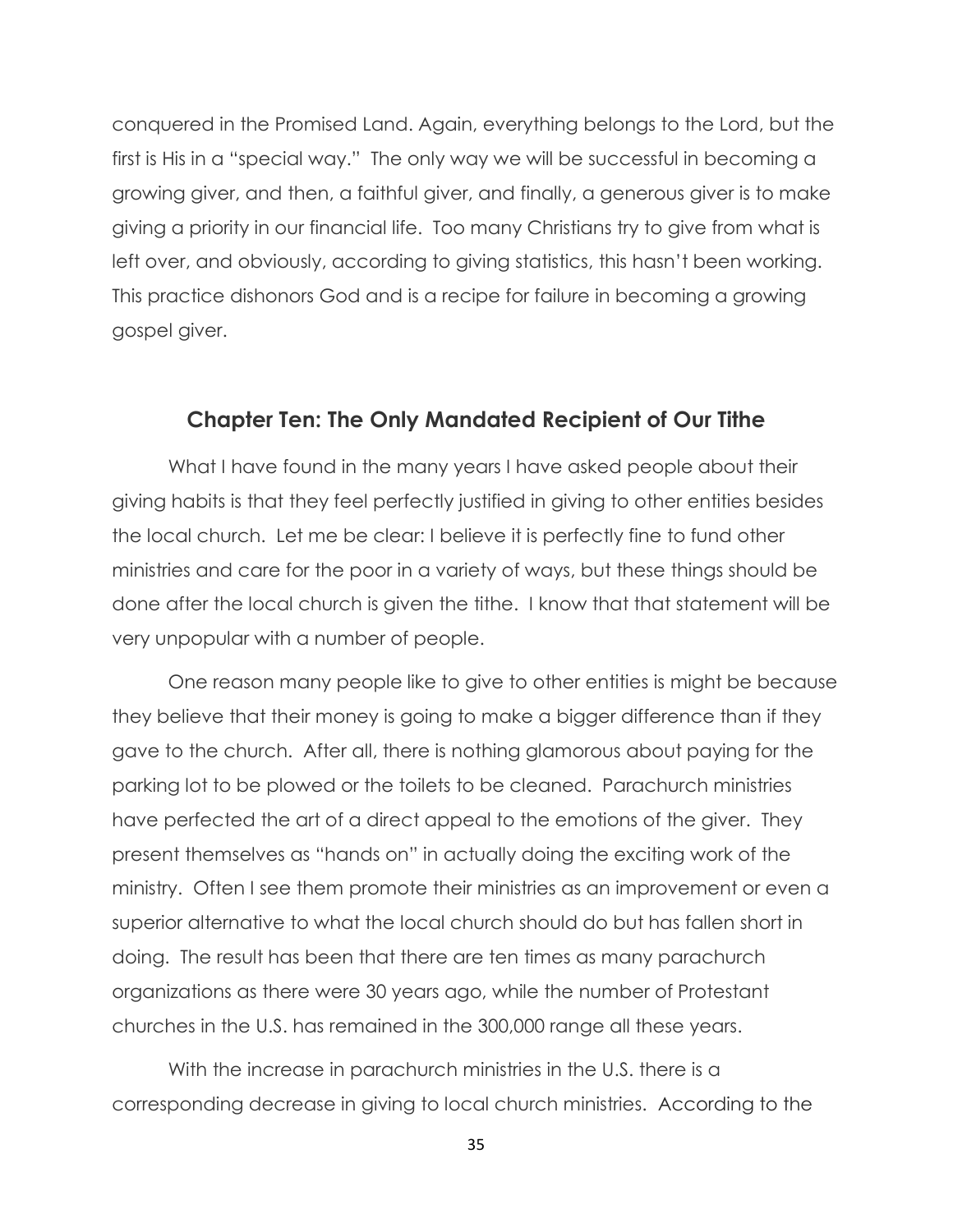conquered in the Promised Land. Again, everything belongs to the Lord, but the first is His in a "special way." The only way we will be successful in becoming a growing giver, and then, a faithful giver, and finally, a generous giver is to make giving a priority in our financial life. Too many Christians try to give from what is left over, and obviously, according to giving statistics, this hasn't been working. This practice dishonors God and is a recipe for failure in becoming a growing gospel giver.

#### **Chapter Ten: The Only Mandated Recipient of Our Tithe**

What I have found in the many years I have asked people about their giving habits is that they feel perfectly justified in giving to other entities besides the local church. Let me be clear: I believe it is perfectly fine to fund other ministries and care for the poor in a variety of ways, but these things should be done after the local church is given the tithe. I know that that statement will be very unpopular with a number of people.

One reason many people like to give to other entities is might be because they believe that their money is going to make a bigger difference than if they gave to the church. After all, there is nothing glamorous about paying for the parking lot to be plowed or the toilets to be cleaned. Parachurch ministries have perfected the art of a direct appeal to the emotions of the giver. They present themselves as "hands on" in actually doing the exciting work of the ministry. Often I see them promote their ministries as an improvement or even a superior alternative to what the local church should do but has fallen short in doing. The result has been that there are ten times as many parachurch organizations as there were 30 years ago, while the number of Protestant churches in the U.S. has remained in the 300,000 range all these years.

With the increase in parachurch ministries in the U.S. there is a corresponding decrease in giving to local church ministries. According to the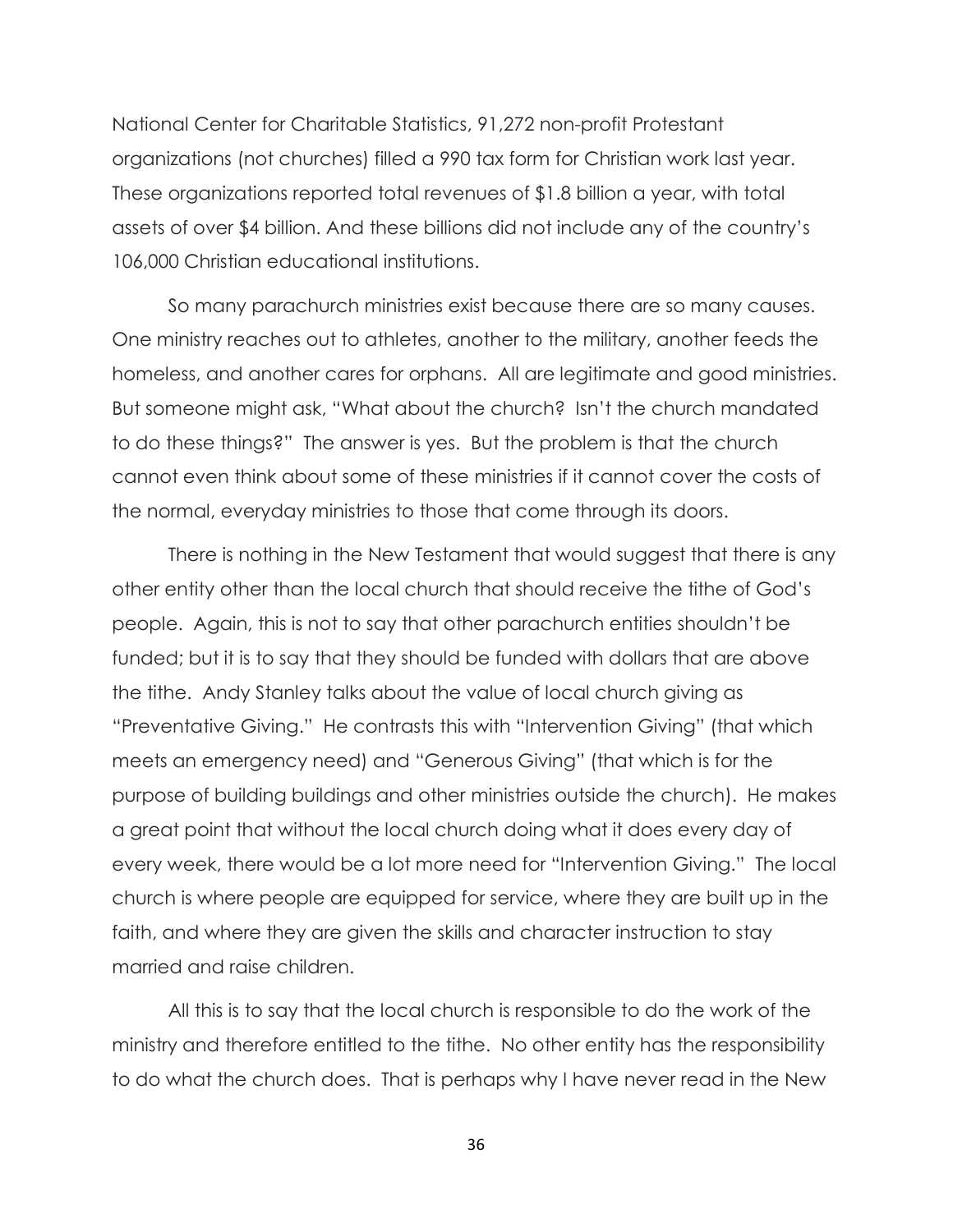National Center for Charitable Statistics, 91,272 non-profit Protestant organizations (not churches) filled a 990 tax form for Christian work last year. These organizations reported total revenues of \$1.8 billion a year, with total assets of over \$4 billion. And these billions did not include any of the country's 106,000 Christian educational institutions.

So many parachurch ministries exist because there are so many causes. One ministry reaches out to athletes, another to the military, another feeds the homeless, and another cares for orphans. All are legitimate and good ministries. But someone might ask, "What about the church? Isn't the church mandated to do these things?" The answer is yes. But the problem is that the church cannot even think about some of these ministries if it cannot cover the costs of the normal, everyday ministries to those that come through its doors.

There is nothing in the New Testament that would suggest that there is any other entity other than the local church that should receive the tithe of God's people. Again, this is not to say that other parachurch entities shouldn't be funded; but it is to say that they should be funded with dollars that are above the tithe. Andy Stanley talks about the value of local church giving as "Preventative Giving." He contrasts this with "Intervention Giving" (that which meets an emergency need) and "Generous Giving" (that which is for the purpose of building buildings and other ministries outside the church). He makes a great point that without the local church doing what it does every day of every week, there would be a lot more need for "Intervention Giving." The local church is where people are equipped for service, where they are built up in the faith, and where they are given the skills and character instruction to stay married and raise children.

All this is to say that the local church is responsible to do the work of the ministry and therefore entitled to the tithe. No other entity has the responsibility to do what the church does. That is perhaps why I have never read in the New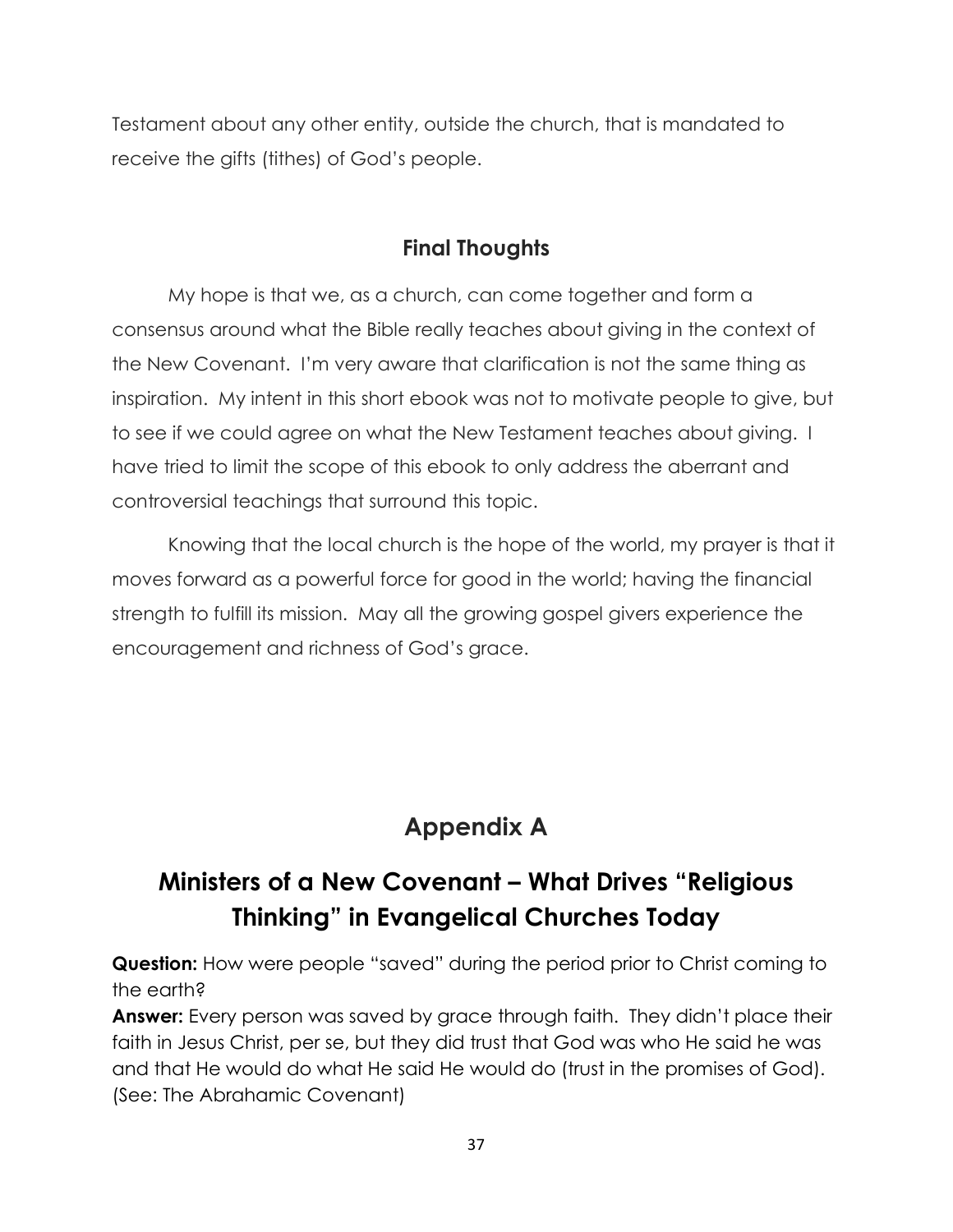Testament about any other entity, outside the church, that is mandated to receive the gifts (tithes) of God's people.

#### **Final Thoughts**

My hope is that we, as a church, can come together and form a consensus around what the Bible really teaches about giving in the context of the New Covenant. I'm very aware that clarification is not the same thing as inspiration. My intent in this short ebook was not to motivate people to give, but to see if we could agree on what the New Testament teaches about giving. I have tried to limit the scope of this ebook to only address the aberrant and controversial teachings that surround this topic.

Knowing that the local church is the hope of the world, my prayer is that it moves forward as a powerful force for good in the world; having the financial strength to fulfill its mission. May all the growing gospel givers experience the encouragement and richness of God's grace.

## **Appendix A**

## **Ministers of a New Covenant – What Drives "Religious Thinking" in Evangelical Churches Today**

**Question:** How were people "saved" during the period prior to Christ coming to the earth?

**Answer:** Every person was saved by grace through faith. They didn't place their faith in Jesus Christ, per se, but they did trust that God was who He said he was and that He would do what He said He would do (trust in the promises of God). (See: The Abrahamic Covenant)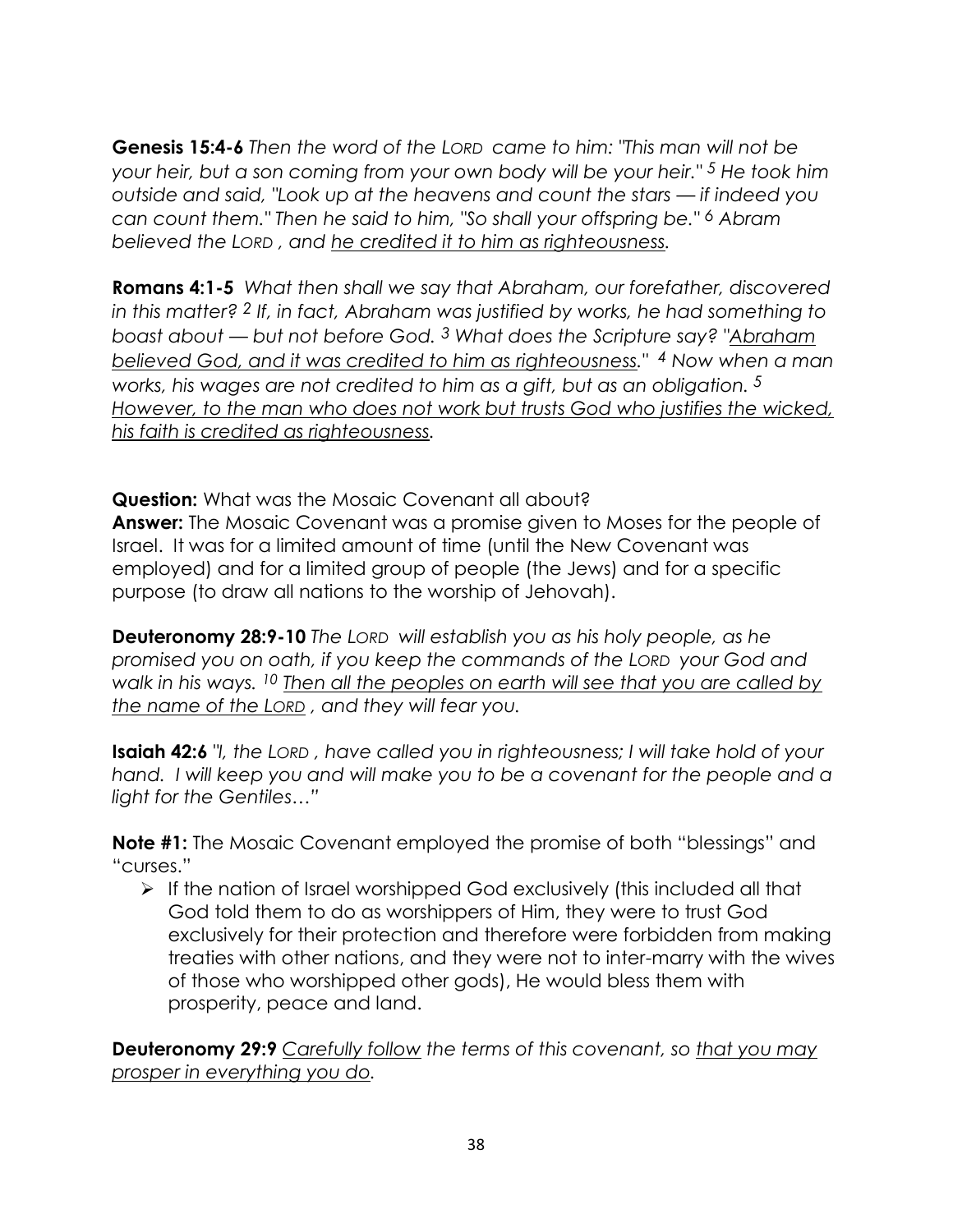**Genesis 15:4-6** *Then the word of the LORD came to him: "This man will not be your heir, but a son coming from your own body will be your heir." 5 He took him outside and said, "Look up at the heavens and count the stars — if indeed you can count them." Then he said to him, "So shall your offspring be." 6 Abram believed the LORD , and he credited it to him as righteousness.*

**Romans 4:1-5** *What then shall we say that Abraham, our forefather, discovered in this matter? 2 If, in fact, Abraham was justified by works, he had something to boast about — but not before God. 3 What does the Scripture say? "Abraham believed God, and it was credited to him as righteousness." <sup>4</sup> Now when a man works, his wages are not credited to him as a gift, but as an obligation. 5 However, to the man who does not work but trusts God who justifies the wicked, his faith is credited as righteousness.*

**Question:** What was the Mosaic Covenant all about? **Answer:** The Mosaic Covenant was a promise given to Moses for the people of Israel. It was for a limited amount of time (until the New Covenant was employed) and for a limited group of people (the Jews) and for a specific purpose (to draw all nations to the worship of Jehovah).

**Deuteronomy 28:9-10** *The LORD will establish you as his holy people, as he promised you on oath, if you keep the commands of the LORD your God and walk in his ways. 10 Then all the peoples on earth will see that you are called by the name of the LORD , and they will fear you.*

**Isaiah 42:6** *"I, the LORD , have called you in righteousness; I will take hold of your hand. I will keep you and will make you to be a covenant for the people and a light for the Gentiles…‖*

**Note #1:** The Mosaic Covenant employed the promise of both "blessings" and "curses."

 $\triangleright$  If the nation of Israel worshipped God exclusively (this included all that God told them to do as worshippers of Him, they were to trust God exclusively for their protection and therefore were forbidden from making treaties with other nations, and they were not to inter-marry with the wives of those who worshipped other gods), He would bless them with prosperity, peace and land.

**Deuteronomy 29:9** *Carefully follow the terms of this covenant, so that you may prosper in everything you do.*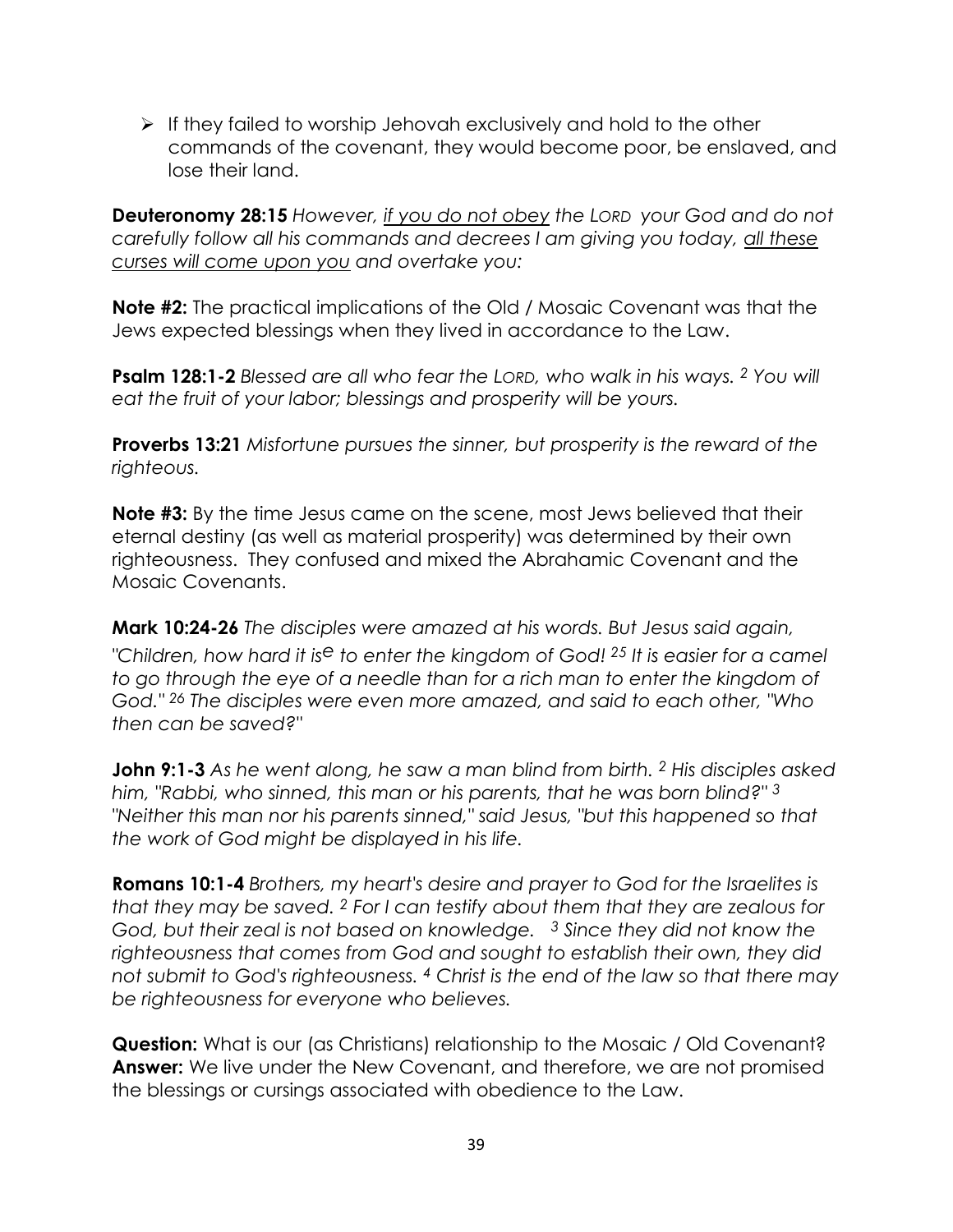$\triangleright$  If they failed to worship Jehovah exclusively and hold to the other commands of the covenant, they would become poor, be enslaved, and lose their land.

**Deuteronomy 28:15** *However, if you do not obey the LORD your God and do not carefully follow all his commands and decrees I am giving you today, all these curses will come upon you and overtake you:*

**Note #2:** The practical implications of the Old / Mosaic Covenant was that the Jews expected blessings when they lived in accordance to the Law.

**Psalm 128:1-2** *Blessed are all who fear the LORD, who walk in his ways. 2 You will eat the fruit of your labor; blessings and prosperity will be yours.*

**Proverbs 13:21** *Misfortune pursues the sinner, but prosperity is the reward of the righteous.*

**Note #3:** By the time Jesus came on the scene, most Jews believed that their eternal destiny (as well as material prosperity) was determined by their own righteousness. They confused and mixed the Abrahamic Covenant and the Mosaic Covenants.

**Mark 10:24-26** *The disciples were amazed at his words. But Jesus said again, "Children, how hard it ise to enter the kingdom of God! <sup>25</sup> It is easier for a camel to go through the eye of a needle than for a rich man to enter the kingdom of God." 26 The disciples were even more amazed, and said to each other, "Who then can be saved?"*

**John 9:1-3** *As he went along, he saw a man blind from birth. 2 His disciples asked him, "Rabbi, who sinned, this man or his parents, that he was born blind?" 3 "Neither this man nor his parents sinned," said Jesus, "but this happened so that the work of God might be displayed in his life.*

**Romans 10:1-4** *Brothers, my heart's desire and prayer to God for the Israelites is that they may be saved. 2 For I can testify about them that they are zealous for God, but their zeal is not based on knowledge. 3 Since they did not know the righteousness that comes from God and sought to establish their own, they did not submit to God's righteousness. 4 Christ is the end of the law so that there may be righteousness for everyone who believes.*

**Question:** What is our (as Christians) relationship to the Mosaic / Old Covenant? **Answer:** We live under the New Covenant, and therefore, we are not promised the blessings or cursings associated with obedience to the Law.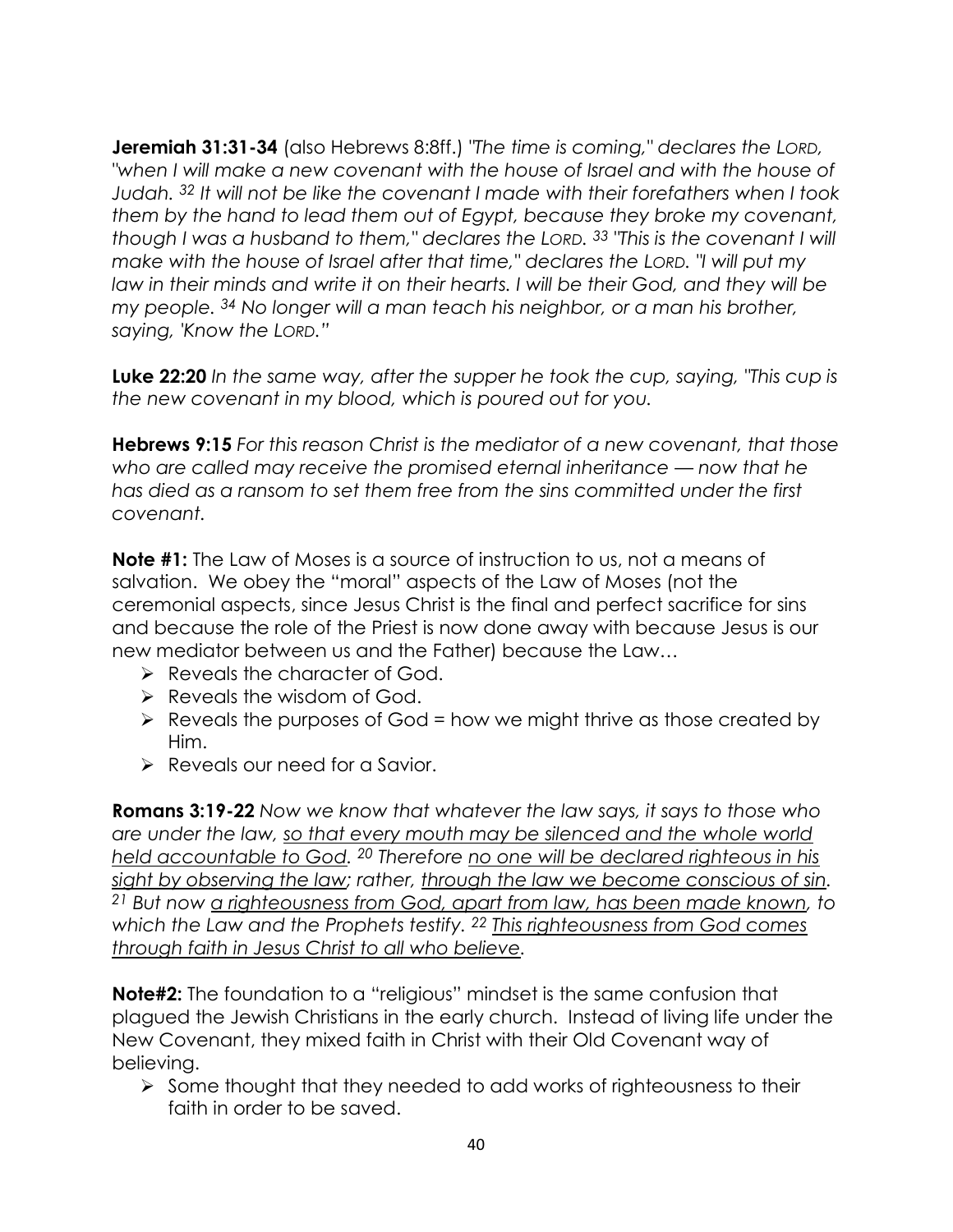**Jeremiah 31:31-34** (also Hebrews 8:8ff.) *"The time is coming," declares the LORD, "when I will make a new covenant with the house of Israel and with the house of Judah. 32 It will not be like the covenant I made with their forefathers when I took them by the hand to lead them out of Egypt, because they broke my covenant, though I was a husband to them," declares the LORD. 33 "This is the covenant I will make with the house of Israel after that time," declares the LORD. "I will put my law in their minds and write it on their hearts. I will be their God, and they will be my people. 34 No longer will a man teach his neighbor, or a man his brother, saying, 'Know the LORD.‖*

**Luke 22:20** *In the same way, after the supper he took the cup, saying, "This cup is the new covenant in my blood, which is poured out for you.*

**Hebrews 9:15** *For this reason Christ is the mediator of a new covenant, that those who are called may receive the promised eternal inheritance — now that he has died as a ransom to set them free from the sins committed under the first covenant.*

**Note #1:** The Law of Moses is a source of instruction to us, not a means of salvation. We obey the "moral" aspects of the Law of Moses (not the ceremonial aspects, since Jesus Christ is the final and perfect sacrifice for sins and because the role of the Priest is now done away with because Jesus is our new mediator between us and the Father) because the Law…

- $\triangleright$  Reveals the character of God.
- $\triangleright$  Reveals the wisdom of God.
- $\triangleright$  Reveals the purposes of God = how we might thrive as those created by Him.
- $\triangleright$  Reveals our need for a Savior.

**Romans 3:19-22** *Now we know that whatever the law says, it says to those who are under the law, so that every mouth may be silenced and the whole world held accountable to God. 20 Therefore no one will be declared righteous in his sight by observing the law; rather, through the law we become conscious of sin. 21 But now a righteousness from God, apart from law, has been made known, to which the Law and the Prophets testify. 22 This righteousness from God comes through faith in Jesus Christ to all who believe.*

**Note#2:** The foundation to a "religious" mindset is the same confusion that plagued the Jewish Christians in the early church. Instead of living life under the New Covenant, they mixed faith in Christ with their Old Covenant way of believing.

 $\triangleright$  Some thought that they needed to add works of righteousness to their faith in order to be saved.